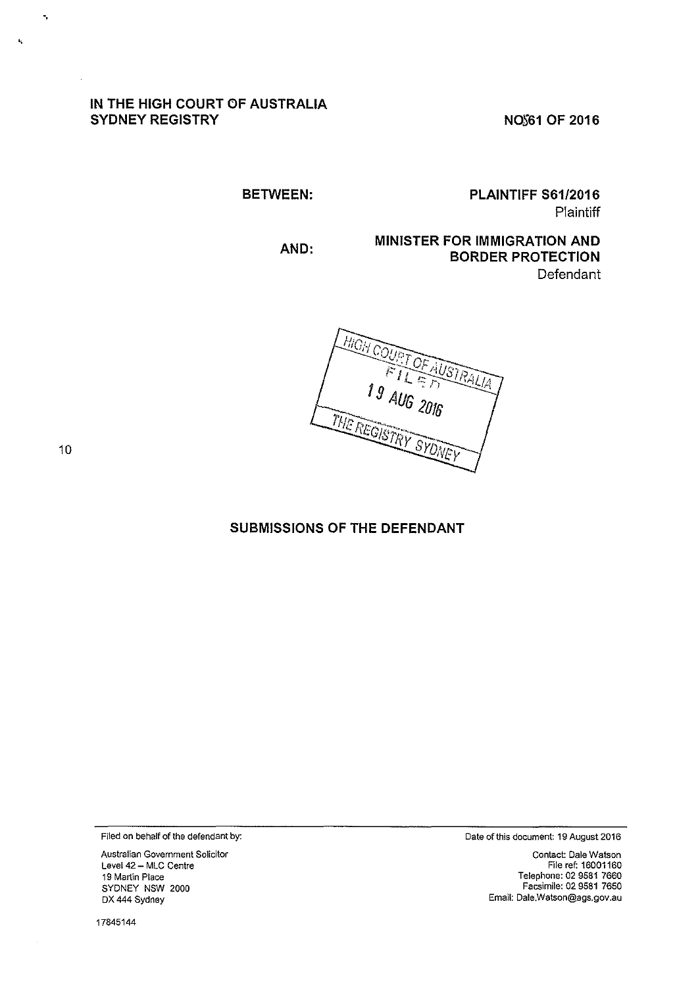## IN THE HIGH COURT OF AUSTRALIA SYDNEY REGISTRY

NOS61 OF 2016

BETWEEN:

PLAINTIFF S61/2016 **Plaintiff** 

AND:

MINISTER FOR IMMIGRATION AND BORDER PROTECTION **Defendant** 



10

·.

 $\bar{k}_i$ 

## SUBMISSIONS OF THE DEFENDANT

Filed on behalf of the defendant by:

Australian Government Solicitor Level 42 - MLC Centre 19 Martin Place SYDNEY NSW 2000 DX 444 Sydney

17845144

Date of this document: 19 August 2016

Contact: Dale Watson File rer. 16001160 Telephone: 02 9581 7660 Facsimile: 02 9581 7650 Email: Dale.Watson@ags.gov.au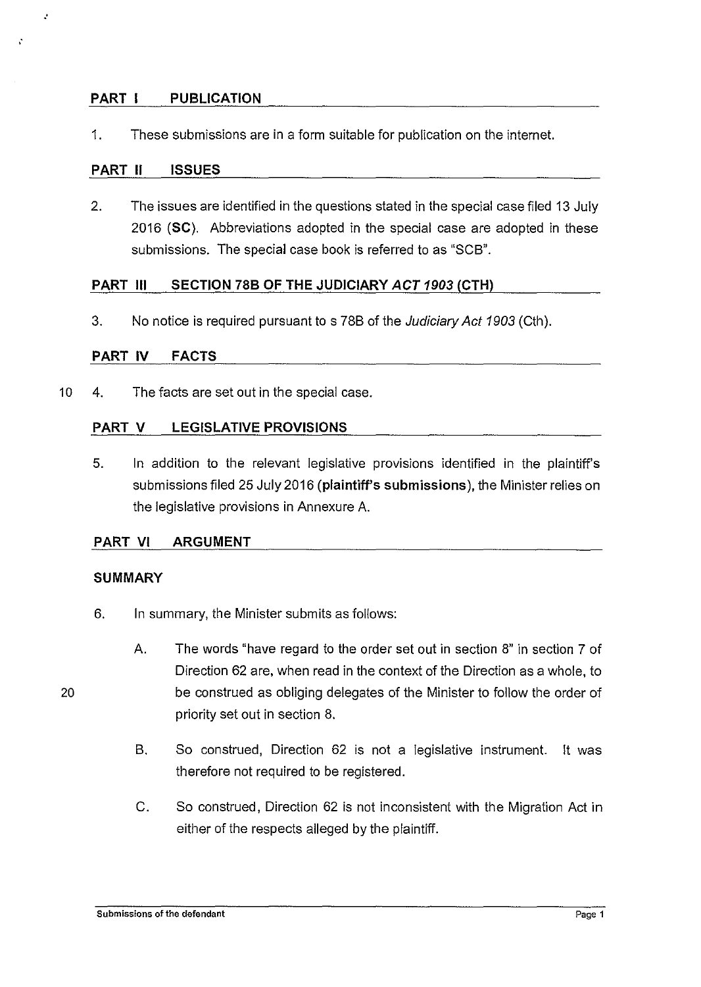## **PART I PUBLICATION**

1. These submissions are in a form suitable for publication on the internet.

## **PART 11 ISSUES**

.·

X

2. The issues are identified in the questions stated in the special case filed 13 July 2016 **(SC).** Abbreviations adopted in the special case are adopted in these submissions. The special case book is referred to as "SCB".

## **PART Ill SECTION 788 OF THE JUDICIARY ACT 1903 (CTH)**

3. No notice is required pursuant to s 788 of the Judiciary Act 1903 (Cth).

## **PART IV FACTS**

10 4. The facts are set out in the special case.

## **PART V LEGISLATIVE PROVISIONS**

5. In addition to the relevant legislative provisions identified in the plaintiff's submissions filed 25 July 2016 **(plaintiff's submissions),** the Minister relies on the legislative provisions in Annexure A.

## **PART VI ARGUMENT**

## **SUMMARY**

- 6. In summary, the Minister submits as follows:
	- A. The words "have regard to the order set out in section 8" in section 7 of Direction 62 are, when read in the context of the Direction as a whole, to be construed as obliging delegates of the Minister to follow the order of priority set out in section 8.
		- B. So construed, Direction 62 is not a legislative instrument. lt was therefore not required to be registered.
		- C. So construed, Direction 62 is not inconsistent with the Migration Act in either of the respects alleged by the plaintiff.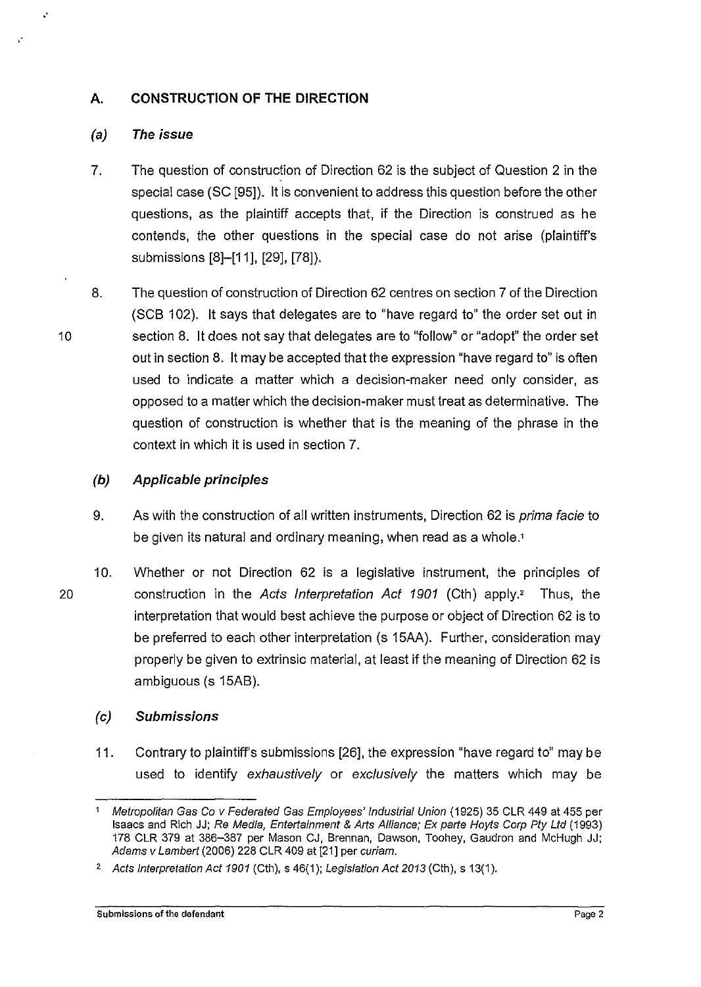## **A. CONSTRUCTION OF THE DIRECTION**

## **(a) The issue**

.·

- 7. The question of construction of Direction 62 is the subject of Question 2 in the special case (SC [95]). it is convenient to address this question before the other questions, as the plaintiff accepts that, if the Direction is construed as he contends, the other questions in the special case do not arise (plaintiff's submissions [8]-[11], [29], [78]).
- 8. The question of construction of Direction 62 centres on section 7 of the Direction (SCB 102). It says that delegates are to "have regard to" the order set out in section 8. lt does not say that delegates are to "follow" or "adopt" the order set out in section 8. lt may be accepted that the expression "have regard to" is often used to indicate a matter which a decision-maker need only consider, as opposed to a matter which the decision-maker must treat as determinative. The question of construction is whether that is the meaning of the phrase in the context in which it is used in section 7.

## **(b) Applicable principles**

- 9. As with the construction of all written instruments, Direction 62 is *prima facie* to be given its natural and ordinary meaning, when read as a whole.'
- 10. Whether or not Direction 62 is a legislative instrument, the principles of 20 construction in the Acts Interpretation Act 1901 (Cth) apply.' Thus, the interpretation that would best achieve the purpose or object of Direction 62 is to be preferred to each other interpretation (s 15AA). Further, consideration may properly be given to extrinsic material, at least if the meaning of Direction 62 is ambiguous (s 15AB).

## (c) **Submissions**

11. Contrary to plaintiff's submissions [26], the expression "have regard to" may be used to identify exhaustively or exclusively the matters which may be

<sup>&#</sup>x27; Metropolitan Gas Go v Federated Gas Employees' Industrial Union ( 1925) 35 CLR 449 at 455 per Isaacs and Rich JJ; Re Media, Entertainment & Arts Alliance; Ex parte Hoyts Corp Pty Ltd (1993) 178 CLR 379 at 386-387 per Mason CJ, Brennan, Dawson, Toohey, Gaudron and McHugh JJ; Adams v Lambert (2006) 228 CLR 409 at [21] per curiam.

<sup>&</sup>lt;sup>2</sup> Acts Interpretation Act 1901 (Cth), s 46(1); Legislation Act 2013 (Cth), s 13(1).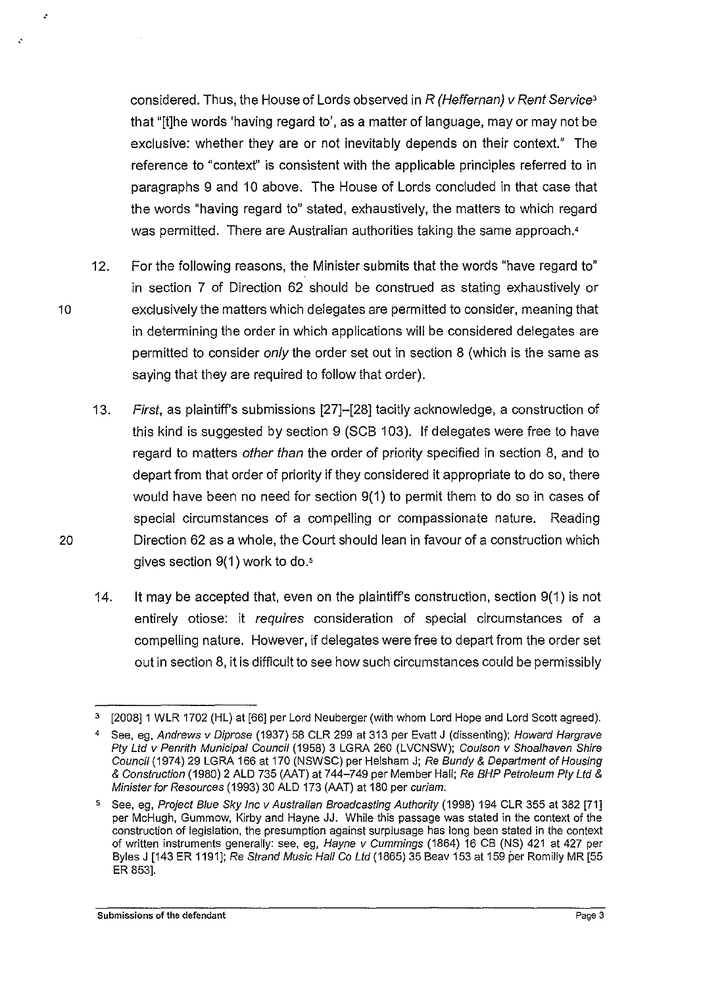considered. Thus, the House of Lords observed in R (Heffernan) v Rent Service' that "[!]he words 'having regard to', as a matter of language, may or may not be exclusive: whether they are or not inevitably depends on their context." The reference to "contexf' is consistent with the applicable principles referred to in paragraphs 9 and 10 above. The House of Lords concluded in that case that the words "having regard to" stated, exhaustively, the matters to which regard was permitted. There are Australian authorities taking the same approach.<sup>4</sup>

- 12. For the following reasons, the Minister submits that the words "have regard to" in section 7 of Direction 62 should be construed as stating exhaustively or 10 exclusively the matters which delegates are permitted to consider, meaning that in determining the order in which applications will be considered delegates are permitted to consider only the order set out in section 8 (which is the same as saying that they are required to follow that order).
- 13. First, as plaintiff's submissions [27]-[28] tacitly acknowledge, a construction of this kind is suggested by section 9 (SCB 103). If delegates were free to have regard to matters other than the order of priority specified in section 8, and to depart from that order of priority if they considered it appropriate to do so, there would have been no need for section 9(1) to permit them to do so in cases of special circumstances of a compelling or compassionate nature. Reading 20 Direction 62 as a whole, the Court should lean in favour of a construction which gives section 9(1) work to do.'
	- 14. lt may be accepted that, even on the plaintiff's construction, section 9(1) is not entirely otiose: it requires consideration of special circumstances of a compelling nature. However, if delegates were free to depart from the order set out in section 8, it is difficult to see how such circumstances could be permissibly

..

<sup>3</sup> [2008]1 WLR 1702 (HL) at [66] per Lord Neuberger (with whom Lord Hope and Lord Scott agreed).

<sup>4</sup> See, eg, Andrews v Diprose (1937) 58 CLR 299 at 313 per Evatt J (dissenting); Howard Hargrave Pty Ltd v Penrith Municipal Council (1958) 3 LGRA 260 (LVCNSW); Coulson v Shoalhaven Shire Council (1974) 29 LGRA 166 at 170 (NSWSC) per Helsham J; Re Bundy & Department of Housing & Construction (1980) 2 ALD 735 {AAT) at 744-749 per Member Hall; Re BHP Petroleum Ply Ltd & Minister for Resources (1993) 30 ALD 173 (AAT) at 180 per curiam.

See, eg, Project Blue Sky Inc v Australian Broadcasting Authority (1998) 194 CLR 355 at 382 [71] per McHugh, Gummow, Kirby and Hayne JJ. While this passage was stated in the context of the construction of legislation, the presumption against surplusage has long been stated in the context of written instruments generally: see, eg, Hayne v Cummings (1864) 16 CB (NS) 421 at 427 per Byles J [143 ER 1191]; Re Strand Music Hall Co Ltd (1865) 35 Beav 153 at 159 per Romilly MR [55 ER 853].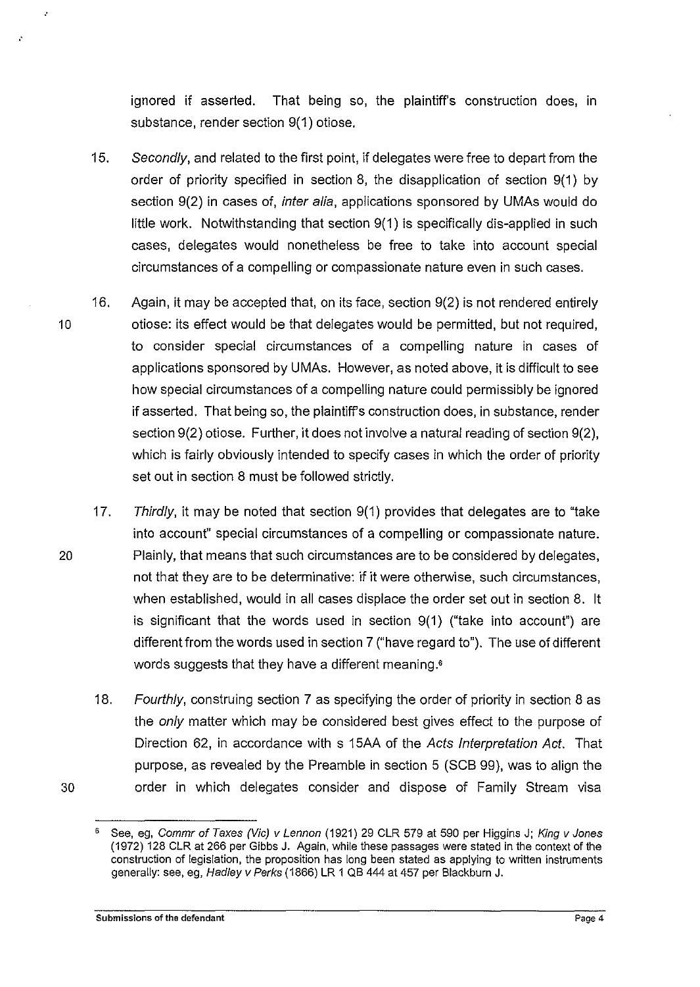ignored if asserted. That being so, the plaintiff's construction does, in substance, render section 9(1) otiose.

- 15. Secondly, and related to the first point, if delegates were free to depart from the order of priority specified in section 8, the disapplication of section 9(1) by section 9(2) in cases of, inter alia, applications sponsored by UMAs would do little work. Notwithstanding that section 9(1) is specifically dis-applied in such cases, delegates would nonetheless be free to take into account special circumstances of a compelling or compassionate nature even in such cases.
- 16. Again, it may be accepted that, on its face, section 9(2) is not rendered entirely 10 otiose: its effect would be that delegates would be permitted, but not required, to consider special circumstances of a compelling nature in cases of applications sponsored by UMAs. However, as noted above, it is difficult to see how special circumstances of a compelling nature could permissibly be ignored if asserted. That being so, the plaintiff's construction does, in substance, render section 9(2) otiose. Further, it does not involve a natural reading of section 9(2), which is fairly obviously intended to specify cases in which the order of priority set out in section 8 must be followed strictly.
- 17. Thirdly, it may be noted that section 9(1) provides that delegates are to "take into account" special circumstances of a compelling or compassionate nature. 20 Plainly, that means that such circumstances are to be considered by delegates, not that they are to be determinative: if it were otherwise, such circumstances, when established, would in all cases displace the order set out in section 8. it is significant that the words used in section 9(1) ("take into account") are different from the words used in section 7 ("have regard to"). The use of different words suggests that they have a different meaning.•
- 18. Fourthly, construing section 7 as specifying the order of priority in section 8 as the only matter which may be considered best gives effect to the purpose of Direction 62, in accordance with s 15AA of the Acts Interpretation Act. That purpose, as revealed by the Preamble in section 5 (SCB 99), was to align the 30 order in which delegates consider and dispose of Family Stream visa

See, eg, Commr of Taxes (Vic) v Lennon (1921) 29 CLR 579 at 590 per Higgins J; King v Jones (1972) 128 CLR at 266 per Gibbs J. Again, while these passages were stated in the context of the construction of legislation, the proposition has long been stated as applying to written instruments generally: see, eg, Had/ey *v* Perks (1866) LR 1 QB 444 at 457 per Blackburn J.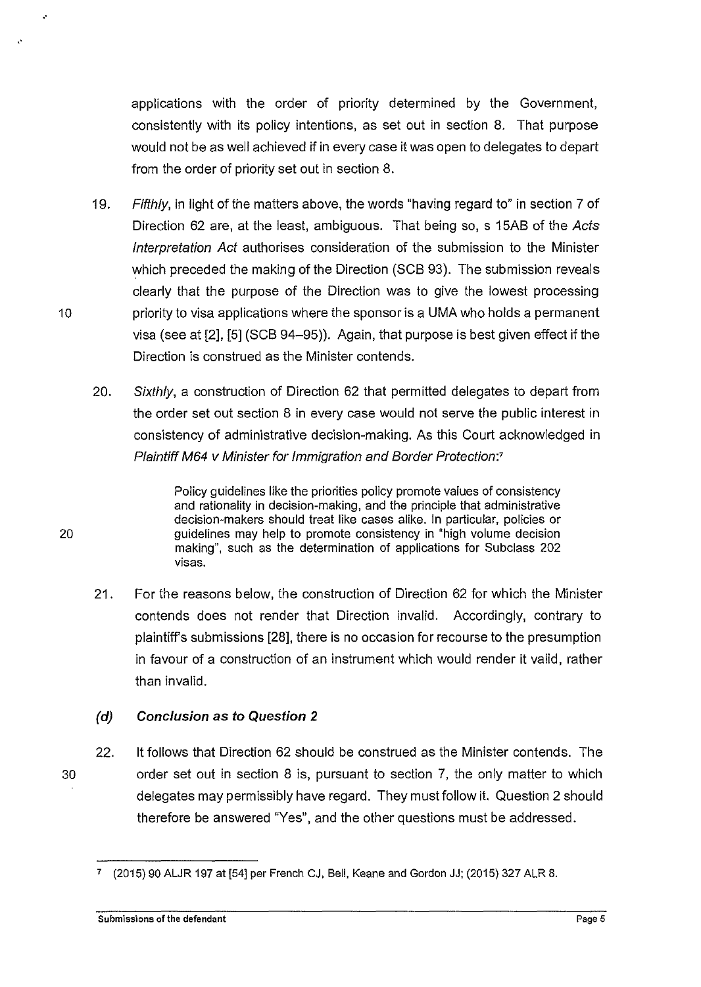applications with the order of priority determined by the Government, consistently with its policy intentions, as set out in section 8. That purpose would not be as well achieved if in every case it was open to delegates to depart from the order of priority set out in section 8.

- 19. Fifthly, in light of the matters above, the words "having regard to" in section 7 of Direction 62 are, at the least, ambiguous. That being so, s 15AB of the Acts Interpretation Act authorises consideration of the submission to the Minister which preceded the making of the Direction (SCB 93). The submission reveals clearly that the purpose of the Direction was to give the lowest processing 10 priority to visa applications where the sponsor is a UMA who holds a permanent visa (see at [2], [5] (SCB 94-95)). Again, that purpose is best given effect if the Direction is construed as the Minister contends.
	- 20. Sixthly, a construction of Direction 62 that permitted delegates to depart from the order set out section 8 in every case would not serve the public interest in consistency of administrative decision-making. As this Court acknowledged in Plaintiff M64 v Minister for Immigration and Border Protection:<sup>7</sup>

Policy guidelines like the priorities policy promote values of consistency and rationality in decision-making, and the principle that administrative decision-makers should treat like cases alike. In particular, policies or guidelines may help to promote consistency in "high volume decision making", such as the determination of applications for Subclass 202 visas.

21. For the reasons below, the construction of Direction 62 for which the Minister contends does not render that Direction invalid. Accordingly, contrary to plaintiff's submissions [28], there is no occasion for recourse to the presumption in favour of a construction of an instrument which would render it valid, rather than invalid.

## **(d) Conclusion as to Question 2**

22. lt follows that Direction 62 should be construed as the Minister contends. The 30 order set out in section 8 is, pursuant to section 7, the only matter to which delegates may permissibly have regard. They must follow it. Question 2 should therefore be answered "Yes", and the other questions must be addressed.

20

..

..

<sup>7</sup>(2015) 90 ALJR 197 at [54] per French CJ, Bell, Keane and Gordon JJ; (2015) 327 ALR 8.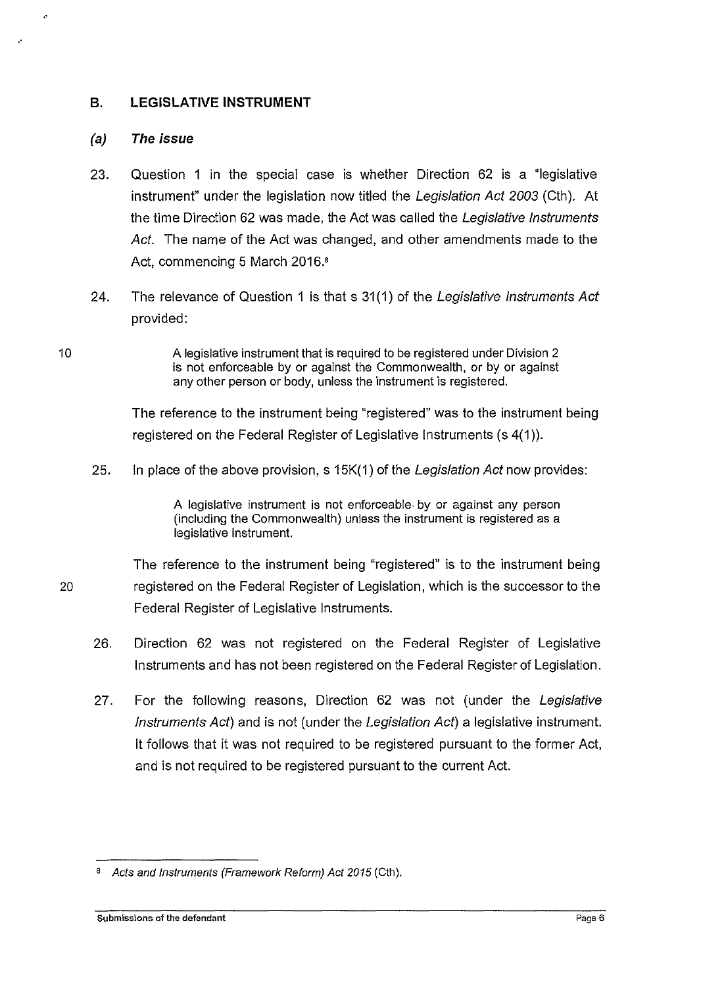## **B. LEGISLATIVE INSTRUMENT**

## (a) **The issue**

..

..

- 23. Question 1 in the special case is whether Direction 62 is a "legislative instrument" under the legislation now titled the Legislation Act 2003 (Cth). At the time Direction 62 was made, the Act was called the Legislative Instruments Act. The name of the Act was changed, and other amendments made to the Act, commencing 5 March 2016.•
- 24. The relevance of Question 1 is that s 31(1) of the Legislative Instruments Act provided:
- A legislative instrument that is required to be registered under Division 2 is not enforceable by or against the Commonwealth, or by or against any other person or body, unless the instrument is registered.

The reference to the instrument being "registered" was to the instrument being registered on the Federal Register of Legislative Instruments (s 4(1 )}.

25. In place of the above provision, s 15K(1) of the Legislation Act now provides:

A legislative instrument is not enforceable. by or against any person (including the Commonwealth) unless the instrument is registered as a legislative instrument.

The reference to the instrument being "registered" is to the instrument being 20 registered on the Federal Register of Legislation, which is the successor to the Federal Register of Legislative Instruments.

- 26. Direction 62 was not registered on the Federal Register of Legislative Instruments and has not been registered on the Federal Register of Legislation.
- 27. For the following reasons, Direction 62 was not (under the Legislative Instruments Act) and is not (under the Legislation Act) a legislative instrument. it follows that it was not required to be registered pursuant to the former Act, and is not required to be registered pursuant to the current Act.

<sup>&</sup>lt;sup>8</sup> Acts and Instruments (Framework Reform) Act 2015 (Cth).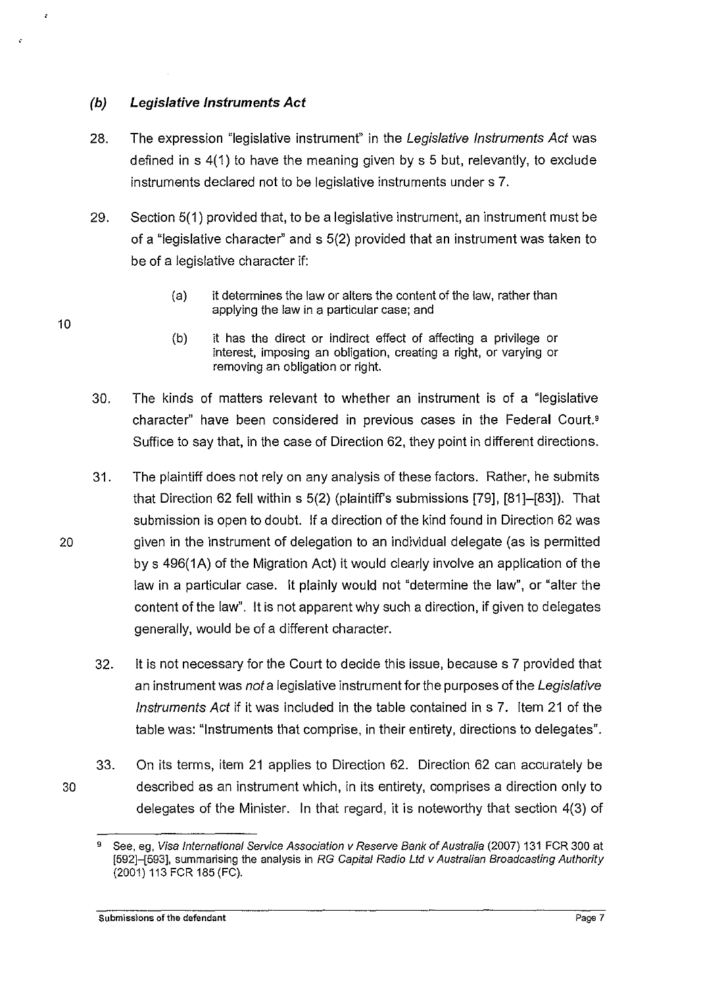## **(b) Legislative Instruments Act**

- 28. The expression "legislative instrument" in the Legislative Instruments Act was defined in s 4(1) to have the meaning given by s 5 but, relevantly, to exclude instruments declared not to be legislative instruments under s 7.
- 29. Section 5(1) provided that, to be a legislative instrument, an instrument must be of a "legislative character" and s 5(2) provided that an instrument was taken to be of a legislative character if:
	- (a) it determines the law or alters the content of the law, rather than applying the law in a particular case; and
	- (b) it has the direct or indirect effect of affecting a privilege or interest, imposing an obligation, creating a right, or varying or removing an obligation or right.
- 30. The kinds of matters relevant to whether an instrument is of a "legislative character" have been considered in previous cases in the Federal Court.' Suffice to say that, in the case of Direction 62, they point in different directions.
- 31. The plaintiff does not rely on any analysis of these factors. Rather, he submits that Direction 62 fell within s 5(2) (plaintiff's submissions [79], [81]-[83]). That submission is open to doubt. If a direction of the kind found in Direction 62 was 20 given in the instrument of delegation to an individual delegate (as is permitted by s 496(1A) of the Migration Act) it would clearly involve an application of the law in a particular case. it plainly would not "determine the law", or "alter the content of the law". it is not apparent why such a direction, if given to delegates generally, would be of a different character.
	- 32. it is not necessary for the Court to decide this issue, because s 7 provided that an instrument was not a legislative instrument for the purposes of the Legislative Instruments Act if it was included in the table contained ins 7. Item 21 of the table was: "Instruments that comprise, in their entirety, directions to delegates".
- 33. On its terms, item 21 applies to Direction 62. Direction 62 can accurately be 30 described as an instrument which, in its entirety, comprises a direction only to delegates of the Minister. In that regard, it is noteworthy that section 4(3) of

<sup>&</sup>lt;sup>9</sup> See, eg, Visa International Service Association v Reserve Bank of Australia (2007) 131 FCR 300 at [592]-[593], summarising the analysis in RG Capital Radio Ltd v Australian Broadcasting Authority (2001) 113 FCR 185 (FC).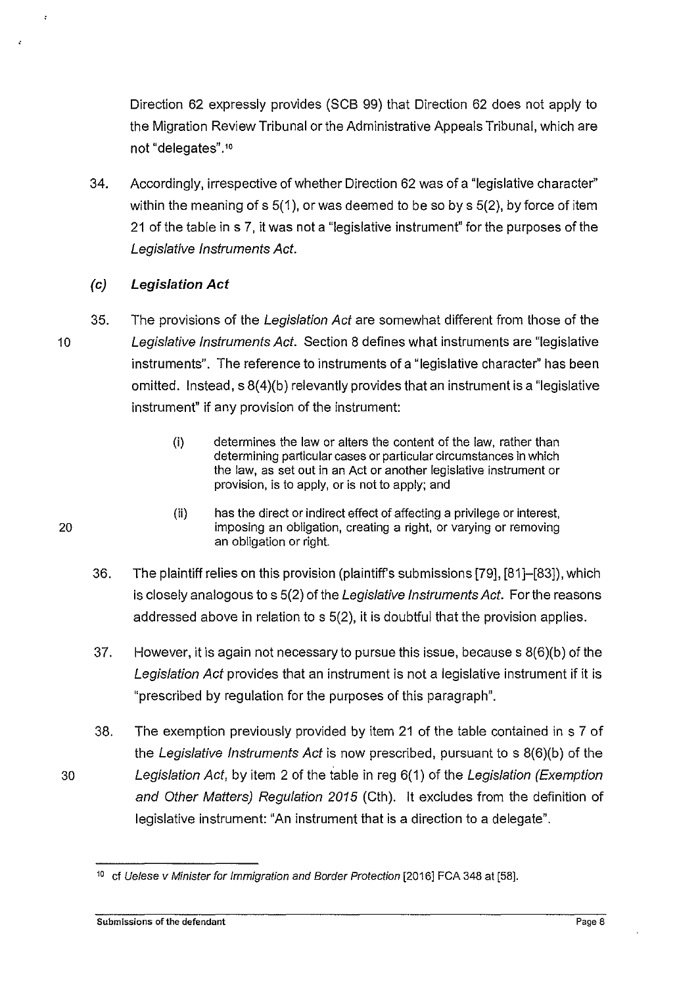Direction 62 expressly provides (SCB 99) that Direction 62 does not apply to the Migration Review Tribunal or the Administrative Appeals Tribunal, which are not "delegates".'•

34. Accordingly, irrespective of whether Direction 62 was of a "legislative character" within the meaning of  $s$  5(1), or was deemed to be so by  $s$  5(2), by force of item 21 of the table ins 7, it was not a "legislative instrument" for the purposes of the Legislative Instruments Act.

## (c) **Legislation Act**

35. The provisions of the Legislation Act are somewhat different from those of the 10 Legislative Instruments Act. Section 8 defines what instruments are "legislative instruments". The reference to instruments of a "legislative character" has been omitted. Instead,  $s \frac{8(4)}{b}$  relevantly provides that an instrument is a "legislative" instrument" if any provision of the instrument:

- (i) determines the law or alters the content of the law, rather than determining particular cases or particular circumstances in which the law, as set out in an Act or another legislative instrument or provision, is to apply, or is not to apply; and
- (ii) has the direct or indirect effect of affecting a privilege or interest, imposing an obligation, creating a right, or varying or removing an obligation or right.
- 36. The plaintiff relies on this provision (plaintiff's submissions [79], [81]-[83]), which is closely analogous to s 5(2) of the Legislative Instruments Act. For the reasons addressed above in relation to s 5(2), it is doubtful that the provision applies.
- 37. However, it is again not necessary to pursue this issue, because s 8(6)(b) of the Legislation Act provides that an instrument is not a legislative instrument if it is "prescribed by regulation for the purposes of this paragraph".
- 38. The exemption previously provided by item 21 of the table contained in s 7 of the Legislative Instruments Act is now prescribed, pursuant to s 8(6}(b) of the 30 Legislation Act, by item 2 of the iable in reg 6( 1) of the Legislation (Exemption and Other Matters) Regulation 2015 (Cth}. it excludes from the definition of legislative instrument: "An instrument that is a direction to a delegate".

<sup>&</sup>lt;sup>10</sup> cf Uelese v Minister for Immigration and Border Protection [2016] FCA 348 at [58].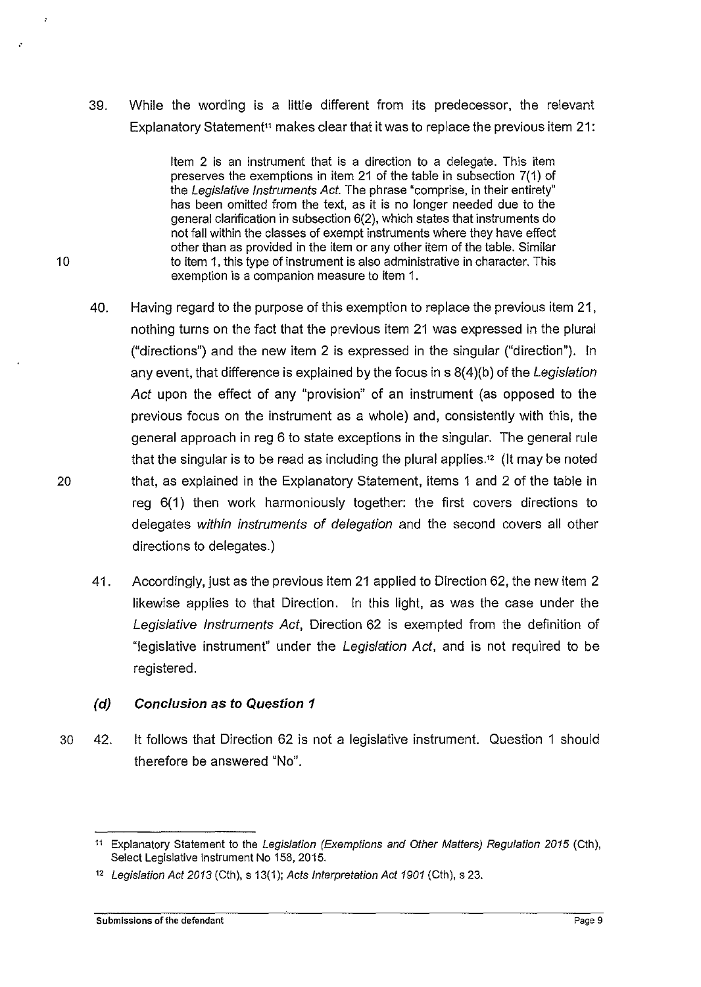39. While the wording is a little different from its predecessor, the relevant Explanatory Statement<sup>11</sup> makes clear that it was to replace the previous item 21:

Item 2 is an instrument that is a direction to a delegate. This item preserves the exemptions in item 21 of the table in subsection 7(1} of the Legislative Instruments Act. The phrase "comprise, in their entirety" has been omitted from the text, as it is no longer needed due to the general clarification in subsection 6(2), which states that instruments do not fall within the classes of exempt instruments where they have effect other than as provided in the item or any other item of the table. Similar 10 to item 1, this type of instrument is also administrative in character. This exemption is a companion measure to item 1.

- 40. Having regard to the purpose of this exemption to replace the previous item 21, nothing turns on the fact that the previous item 21 was expressed in the plural ("directions") and the new item 2 is expressed in the singular ("direction"). In any event, that difference is explained by the focus in  $s(4)(b)$  of the Legislation Act upon the effect of any "provision" of an instrument (as opposed to the previous focus on the instrument as a whole) and, consistently with this, the general approach in reg 6 to state exceptions in the singular. The general rule that the singular is to be read as including the plural applies.<sup>12</sup> (It may be noted 20 that, as explained in the Explanatory Statement, items 1 and 2 of the table in reg 6(1) then work harmoniously together: the first covers directions to delegates within instruments of delegation and the second covers all other directions to delegates.)
	- 41. Accordingly, just as the previous item 21 applied to Direction 62, the new item 2 likewise applies to that Direction. In this light, as was the case under the Legislative Instruments Act, Direction 62 is exempted from the definition of "legislative instrument" under the Legislation Act, and is not required to be registered.

## **(d) Conclusion as to Question 1**

30 42. it follows that Direction 62 is not a legislative instrument. Question 1 should therefore be answered "No".

.·

<sup>11</sup> Explanatory Statement to the Legislation (Exemptions and Other Matters) Regulation 2015 (Cth), Select Legislative Instrument No 158, 2015.

<sup>12</sup>Legislation Act 2013 (Cth), s 13(1 ); Acts Interpretation Act 1901 (Cth), s 23.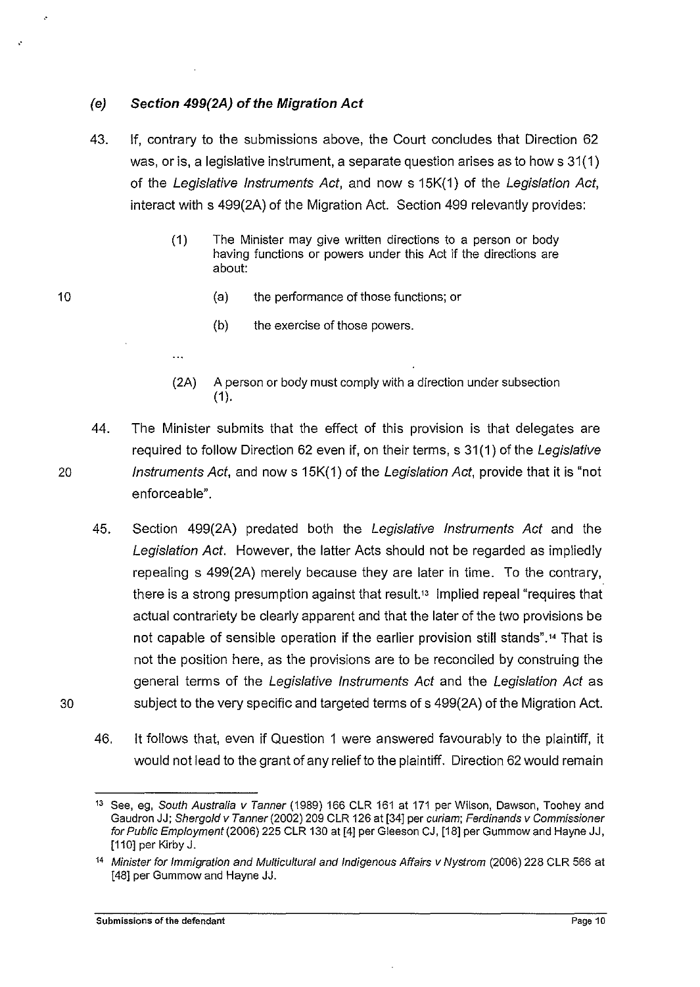## (e) **Section 499(2A) of the Migration Act**

 $\ddotsc$ 

- 43. If, contrary to the submissions above, the Court concludes that Direction 62 was, or is, a legislative instrument, a separate question arises as to how s 31(1) of the Legislative Instruments Act, and now s 15K(1) of the Legislation Act, interact with s 499(2A) of the Migration Act. Section 499 relevantly provides:
	- (1) The Minister may give written directions to a person or body having functions or powers under this Act if the directions are about:
		- (a) the performance of those functions; or
		- (b) the exercise of those powers.
	- (2A) A person or body must comply with a direction under subsection  $(1).$
- 44. The Minister submits that the effect of this provision is that delegates are required to follow Direction 62 even if, on their terms, s 31(1) of the Legislative 20 Instruments Act, and now s 15K(1) of the Legislation Act, provide that it is "not enforceable".
- 45. Section 499(2A) predated both the Legislative Instruments Act and the Legislation Act. However, the latter Acts should not be regarded as impliedly repealing s 499(2A) merely because they are later in time. To the contrary, there is a strong presumption against that result.<sup>13</sup> Implied repeal "requires that actual contrariety be clearly apparent and that the later of the two provisions be not capable of sensible operation if the earlier provision still stands"." That is not the position here, as the provisions are to be reconciled by construing the general terms of the Legislative Instruments Act and the Legislation Act as 30 subject to the very specific and targeted terms of s 499(2A) of the Migration Act.
	- 46. it follows that, even if Question 1 were answered favourably to the plaintiff, it would not lead to the grant of any relief to the plaintiff. Direction 62 would remain

10

..

<sup>&</sup>lt;sup>13</sup> See, eg, South Australia v Tanner (1989) 166 CLR 161 at 171 per Wilson, Dawson, Toohey and Gaudron JJ; Shergold v Tanner (2002) 209 CLR 126 at [34] per curiam; Ferdinands v Commissioner for Public Emp/oyment(2006) 225 CLR 130 at [4] per Gleeson CJ, [18] per Gummow and Hayne JJ, [110] per Kirby J.

<sup>&</sup>lt;sup>14</sup> Minister for Immigration and Multicultural and Indigenous Affairs v Nystrom (2006) 228 CLR 566 at [48] per Gummow and Hayne JJ.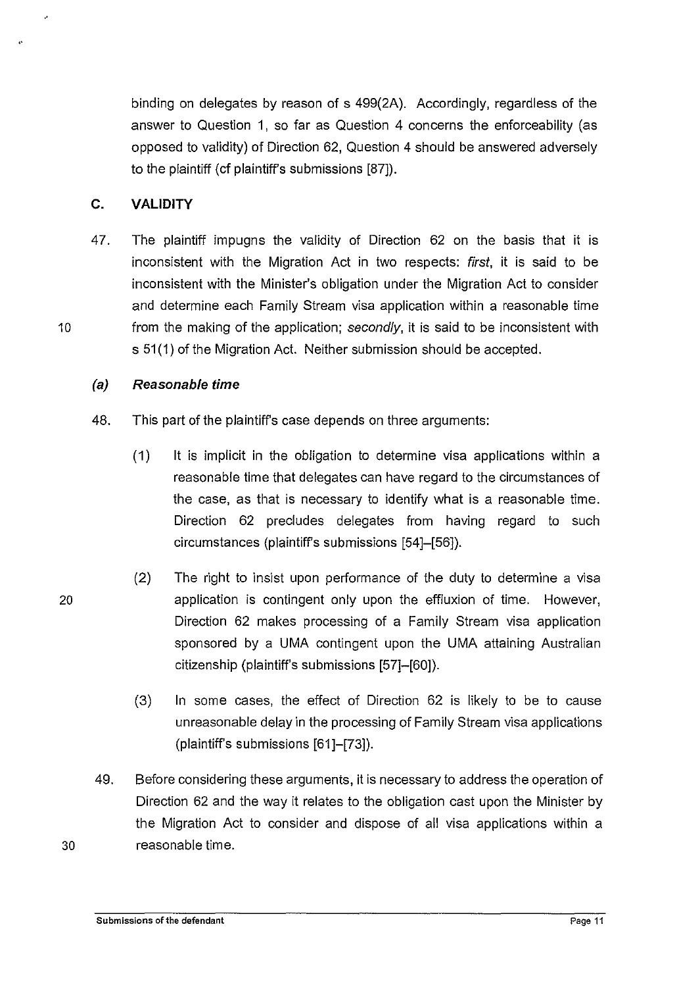binding on delegates by reason of s 499(2A). Accordingly, regardless of the answer to Question 1, so far as Question 4 concerns the enforceability (as opposed to validity) of Direction 62, Question 4 should be answered adversely to the plaintiff (cf plaintiff's submissions [87]).

## **C. VALIDITY**

47. The plaintiff impugns the validity of Direction 62 on the basis that it is inconsistent with the Migration Act in two respects: first, it is said to be inconsistent with the Minister's obligation under the Migration Act to consider and determine each Family Stream visa application within a reasonable time 10 from the making of the application; secondly, it is said to be inconsistent with s 51(1) of the Migration Act. Neither submission should be accepted.

## (a) **Reasonable time**

- 48. This part of the plaintiffs case depends on three arguments:
	- ( 1) lt is implicit in the obligation to determine visa applications within a reasonable time that delegates can have regard to the circumstances of the case, as that is necessary to identify what is a reasonable time. Direction 62 precludes delegates from having regard to such circumstances (plaintiffs submissions [54]-[56)).
- (2} The right to insist upon performance of the duty to determine a visa 20 application is contingent only upon the effluxion of time. However, Direction 62 makes processing of a Family Stream visa application sponsored by a UMA contingent upon the UMA attaining Australian citizenship (plaintiff's submissions [57]-[60]}.
	- (3} In some cases, the effect of Direction 62 is likely to be to cause unreasonable delay in the processing of Family Stream visa applications (plaintiff's submissions [61]-[73]}.
- 49. Before considering these arguments, it is necessary to address the operation of Direction 62 and the way it relates to the obligation cast upon the Minister by the Migration Act to consider and dispose of all visa applications within a 30 reasonable time.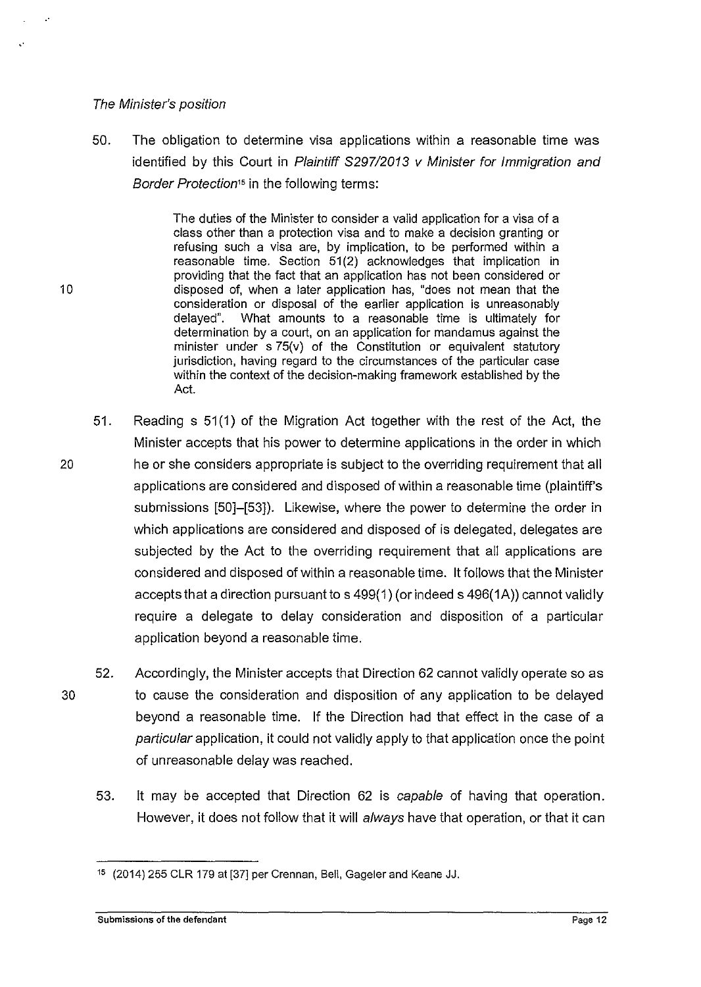#### The Minister's position

,.

50. The obligation to determine visa applications within a reasonable time was identified by this Court in Plaintiff S297/2013 v Minister for Immigration and Border Protection*15* in the following terms:

The duties of the Minister to consider a valid application for a visa of a class other than a protection visa and to make a decision granting or refusing such a visa are, by implication, to be performed within a reasonable time. Section 51(2) acknowledges that implication in providing that the fact that an application has not been considered or 10 disposed of, when a later application has, "does not mean that the consideration or disposal of the earlier application is unreasonably delayed". What amounts to a reasonable time is ultimately for determination by a court, on an application for mandamus against the minister under s 75(v) of the Constitution or equivalent statutory jurisdiction, having regard to the circumstances of the particular case within the context of the decision-making framework established by the Act.

- 51. Reading s 51 (1) of the Migration Act together with the rest of the Act, the Minister accepts that his power to determine applications in the order in which 20 he or she considers appropriate is subject to the overriding requirement that all applications are considered and disposed of within a reasonable time (plaintiff's submissions [50]-[53]). Likewise, where the power to determine the order in which applications are considered and disposed of is delegated, delegates are subjected by the Act to the overriding requirement that all applications are considered and disposed of within a reasonable time. lt follows that the Minister accepts that a direction pursuant to s 499(1) (or indeed s 496(1A)) cannot validly require a delegate to delay consideration and disposition of a particular application beyond a reasonable time.
- 52. Accordingly, the Minister accepts that Direction 62 cannot validly operate so as 30 to cause the consideration and disposition of any application to be delayed beyond a reasonable time. If the Direction had that effect in the case of a particular application, it could not validly apply to that application once the point of unreasonable delay was reached.
	- 53. lt may be accepted that Direction 62 is capable of having that operation. However, it does not follow that it will always have that operation, or that it can

<sup>15</sup> (2014) 255 CLR 179 at [37] per Crennan, Bell, Gageler and Keane JJ.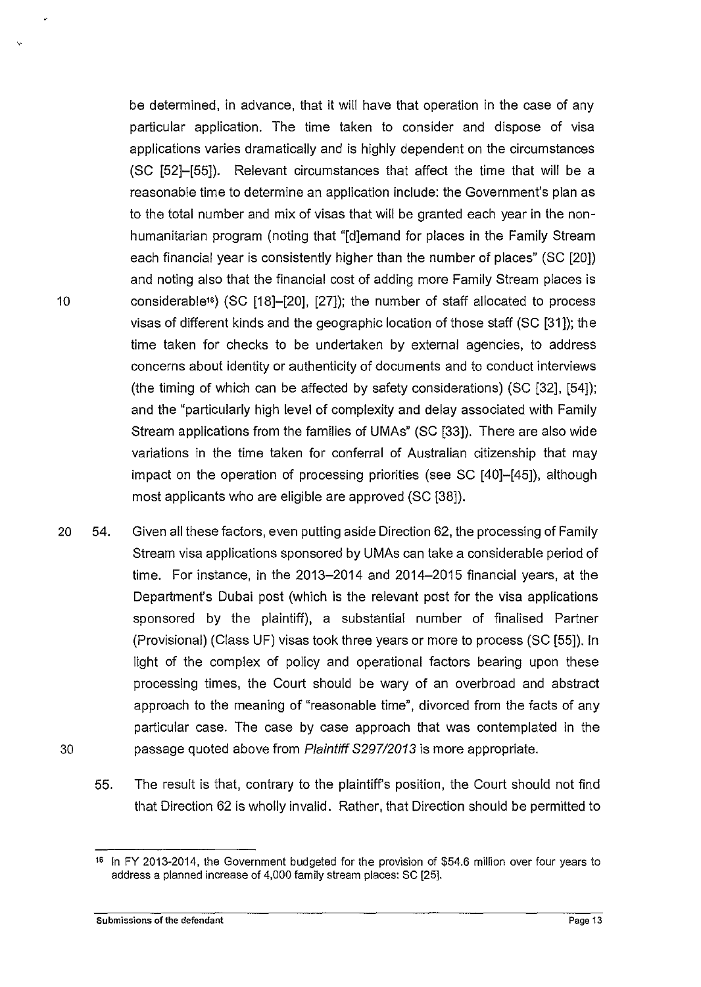be determined, in advance, that it will have that operation in the case of any particular application. The time taken to consider and dispose of visa applications varies dramatically and is highly dependent on the circumstances (SC [52]-[55]). Relevant circumstances that affect the time that will be a reasonable time to determine an application include: the Government's plan as to the total number and mix of visas that will be granted each year in the nonhumanitarian program (noting that "[d]emand for places in the Family Stream each financial year is consistently higher than the number of places" (SC [20]) and noting also that the financial cost of adding more Family Stream places is 10 considerable16) (SC [18]-[20], [27]); the number of staff allocated to process visas of different kinds and the geographic location of those staff (SC [31 ]); the time taken for checks to be undertaken by external agencies, to address concerns about identity or authenticity of documents and to conduct interviews (the timing of which can be affected by safety considerations) (SC [32], [54]); and the "particularly high level of complexity and delay associated with Family Stream applications from the families of UMAs" (SC [33]). There are also wide variations in the time taken for conferral of Australian citizenship that may impact on the operation of processing priorities (see SC [40]-[45]), although most applicants who are eligible are approved (SC [38]).

- 20 54. Given all these factors, even putting aside Direction 62, the processing of Family Stream visa applications sponsored by UMAs can take a considerable period of time. For instance, in the 2013-2014 and 2014-2015 financial years, at the Department's Dubai post (which is the relevant post for the visa applications sponsored by the plaintiff), a substantial number of finalised Partner (Provisional) (Class UF) visas took three years or more to process (SC [55]). In light of the complex of policy and operational factors bearing upon these processing times, the Court should be wary of an overbroad and abstract approach to the meaning of "reasonable time", divorced from the facts of any particular case. The case by case approach that was contemplated in the 30 passage quoted above from Plaintiff S297/2013 is more appropriate.
	- 55. The result is that, contrary to the plaintiff's position, the Court should not find that Direction 62 is wholly invalid. Rather, that Direction should be permitted to

,.

<sup>&</sup>lt;sup>16</sup> In FY 2013-2014, the Government budgeted for the provision of \$54.6 million over four years to address a planned increase of 4,000 family stream places: SC [25].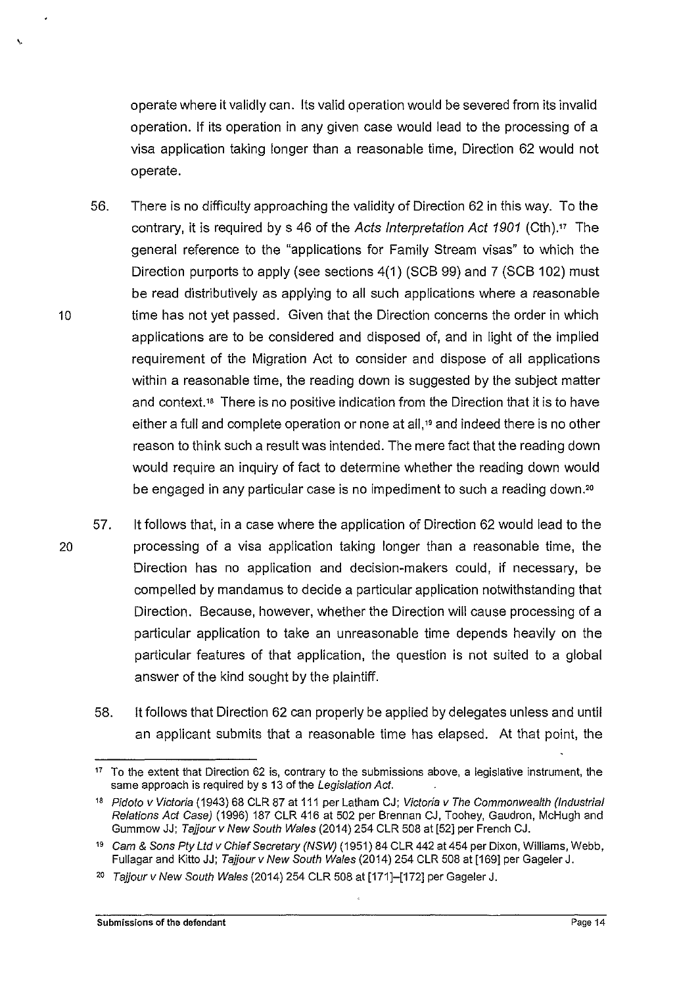operate where it validly can. Its valid operation would be severed from its invalid operation. If its operation in any given case would lead to the processing of a visa application taking longer than a reasonable time, Direction 62 would not operate.

- 56. There is no difficulty approaching the validity of Direction 62 in this way. To the contrary, it is required by s 46 of the Acts Interpretation Act 1901 (Cth)." The general reference to the "applications for Family Stream visas" to which the Direction purports to apply (see sections 4(1) (SCB 99) and 7 (SCB 102) must be read distributively as applying to all such applications where a reasonable 10 time has not yet passed. Given that the Direction concerns the order in which applications are to be considered and disposed of, and in light of the implied requirement of the Migration Act to consider and dispose of all applications within a reasonable time, the reading down is suggested by the subject matter and context." There is no positive indication from the Direction that it is to have either a full and complete operation or none at all,<sup>19</sup> and indeed there is no other reason to think such a result was intended. The mere fact that the reading down would require an inquiry of fact to determine whether the reading down would be engaged in any particular case is no impediment to such a reading down.'<sup>0</sup>
- 57. it follows that, in a case where the application of Direction 62 would lead to the 20 processing of a visa application taking longer than a reasonable time, the Direction has no application and decision-makers could, if necessary, be compelled by mandamus to decide a particular application notwithstanding that Direction. Because, however, whether the Direction will cause processing of a particular application to take an unreasonable time depends heavily on the particular features of that application, the question is not suited *to* a global answer of the kind sought by the plaintiff.
	- 58. it follows that Direction 62 can properly be applied by delegates unless and until an applicant submits that a reasonable time has elapsed. At that point. the

\.

<sup>&</sup>lt;sup>17</sup> To the extent that Direction 62 is, contrary to the submissions above, a legislative instrument, the same approach is required by s 13 of the Legislation Act.

<sup>&</sup>lt;sup>18</sup> Pidoto v Victoria (1943) 68 CLR 87 at 111 per Latham CJ; Victoria v The Commonwealth (Industrial Relations Act Case) (1996) 187 CLR 416 at 502 per Brennan CJ, Toohey, Gaudron, McHugh and Gummow JJ; Tajjour v New South Wales (2014) 254 CLR 508 at [52] per French CJ.

<sup>19</sup> Cam & Sons Pty Ltd v Chief Secretary (NSW) (1951) 84 CLR 442 at 454 per Dixon, Williams, Webb, Fullagar and Kitto JJ; Tajjour v New South Wales (2014) 254 CLR 508 at [169] per Gageler J.

<sup>20</sup> Tajjour v New South Wales (2014) 254 CLR 508 at [171]-[172] per Gageler J.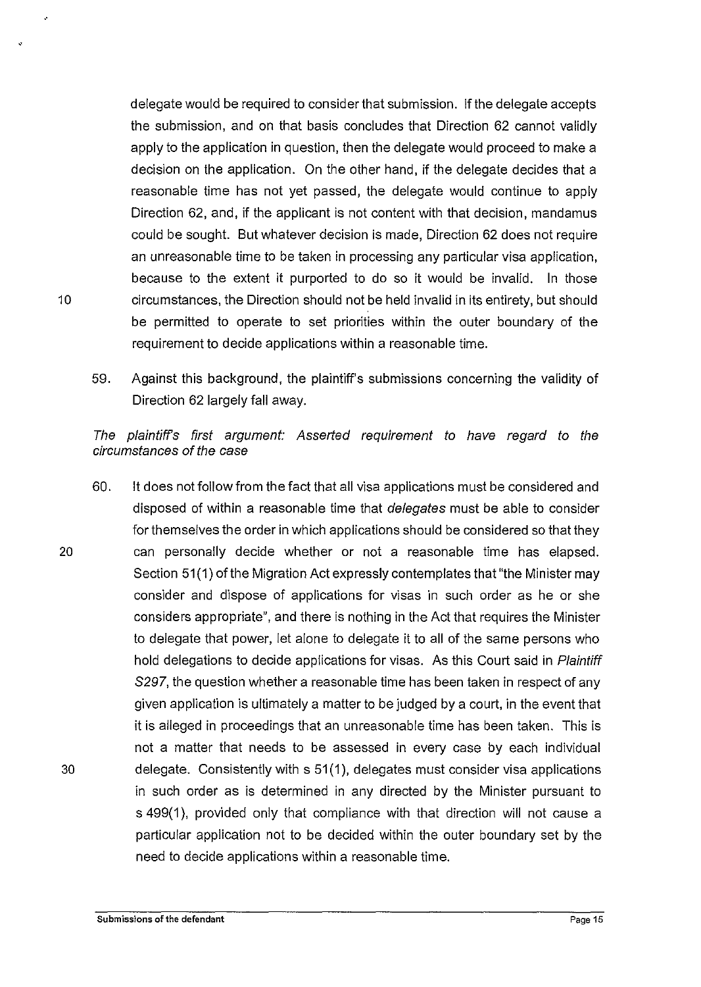delegate would be required to consider that submission. If the delegate accepts the submission, and on that basis concludes that Direction 62 cannot validly apply to the application in question, then the delegate would proceed to make a decision on the application. On the other hand, if the delegate decides that a reasonable time has not yet passed, the delegate would continue to apply Direction 62, and, if the applicant is not content with that decision, mandamus could be sought. But whatever decision is made, Direction 62 does not require an unreasonable time to be taken in processing any particular visa application, because to the extent it purported to do so it would be invalid. In those 10 circumstances, the Direction should not be held invalid in its entirety, but should be permitted to operate to set priorities within the outer boundary of the requirement to decide applications within a reasonable time.

59. Against this background, the plaintiff's submissions concerning the validity of Direction 62 largely fall away.

The plaintiffs first argument: Asserted requirement to have regard to the circumstances of the case

60. lt does not follow from the fact that all visa applications must be considered and disposed of within a reasonable time that delegates must be able to consider for themselves the order in which applications should be considered so that they 20 can personally decide whether or not a reasonable time has elapsed. Section 51(1) of the Migration Act expressly contemplates that "the Minister may consider and dispose of applications for visas in such order as he or she considers appropriate", and there is nothing in the Act that requires the Minister to delegate that power, let alone to delegate it to all of the same persons who hold delegations to decide applications for visas. As this Court said in Plaintiff S297, the question whether a reasonable time has been taken in respect of any given application is ultimately a matter to be judged by a court, in the event that it is alleged in proceedings that an unreasonable time has been taken. This is not a matter that needs to be assessed in every case by each individual 30 delegate. Consistently with s 51 (1 ), delegates must consider visa applications in such order as is determined in any directed by the Minister pursuant to s 499(1), provided only that compliance with that direction will not cause a particular application not to be decided within the outer boundary set by the need to decide applications within a reasonable time.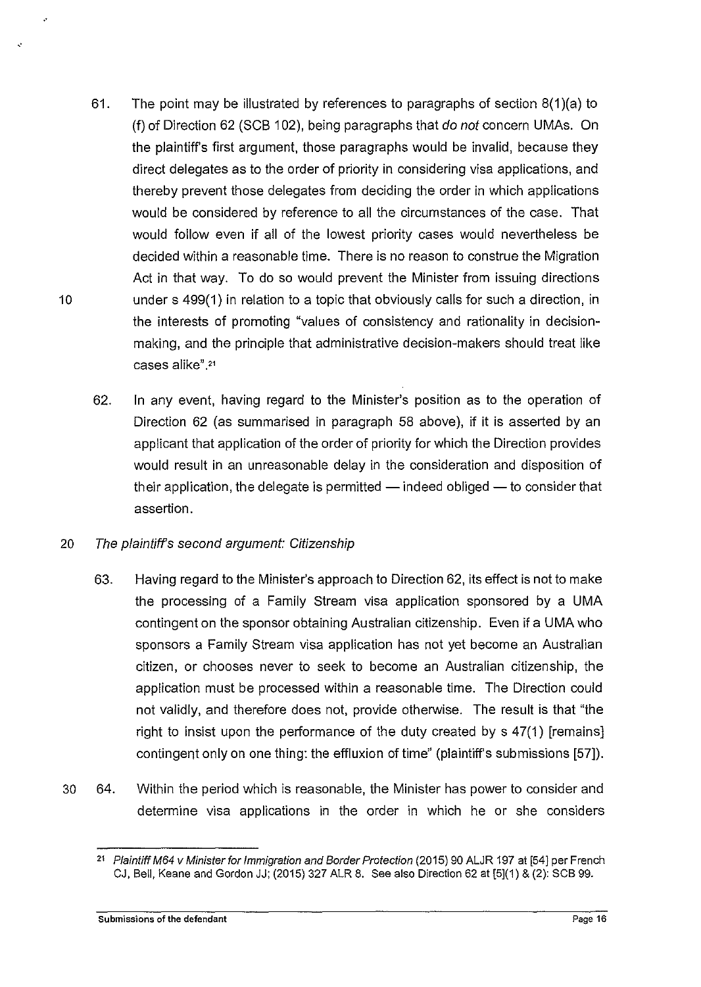- 61. The point may be illustrated by references to paragraphs of section 8(1 )(a) to (f) of Direction 62 (SCB 102), being paragraphs that do not concern UMAs. On the plaintiff's first argument, those paragraphs would be invalid, because they direct delegates as to the order of priority in considering visa applications, and thereby prevent those delegates from deciding the order in which applications would be considered by reference to all the circumstances of the case. That would follow even if all of the lowest priority cases would nevertheless be decided within a reasonable time. There is no reason to construe the Migration Act in that way. To do so would prevent the Minister from issuing directions 10 under s 499(1) in relation to a topic that obviously calls for such a direction, in the interests of promoting "values of consistency and rationality in decisionmaking, and the principle that administrative decision-makers should treat like cases alike".<sup>21</sup>
	- 62. In any event, having regard to the Minister's position as to the operation of Direction 62 (as summarised in paragraph 58 above), if it is asserted by an applicant that application of the order of priority for which the Direction provides would result in an unreasonable delay in the consideration and disposition of their application, the delegate is permitted  $-$  indeed obliged  $-$  to consider that assertion.

## 20 The plaintiffs second argument: Citizenship

- 63. Having regard to the Minister's approach to Direction 62, its effect is not to make the processing of a Family Stream visa application sponsored by a UMA contingent on the sponsor obtaining Australian citizenship. Even if a UMA who sponsors a Family Stream visa application has not yet become an Australian citizen, or chooses never to seek to become an Australian citizenship, the application must be processed within a reasonable time. The Direction could not validly, and therefore does not, provide otherwise. The result is that "the right to insist upon the performance of the duty created by s 47(1) [remains] contingent only on one thing: the effluxion of time" (plaintiff's submissions [57]).
- 30 64. Within the period which is reasonable, the Minister has power to consider and determine visa applications in the order in which he or she considers

,.

<sup>&</sup>lt;sup>21</sup> Plaintiff M64 v Minister for Immigration and Border Protection (2015) 90 ALJR 197 at [54] per French CJ, Bell, Keane and Gordon JJ; (2015) 327 ALR 8. See also Direction 62 at [5](1) & (2): SCB 99.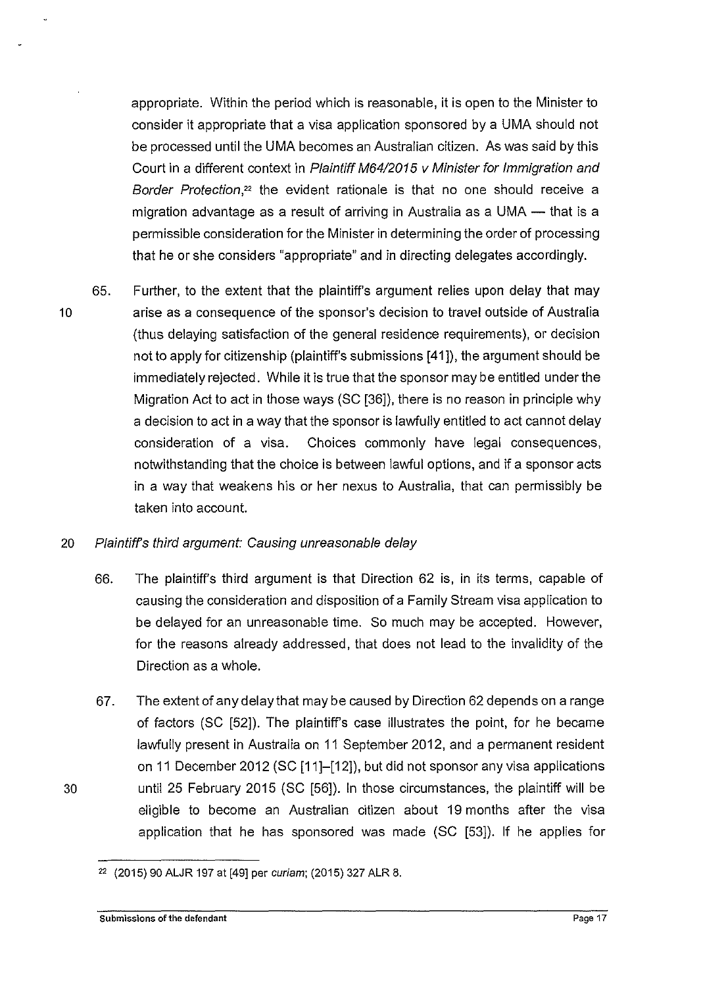appropriate. Within the period which is reasonable, it is open to the Minister to consider it appropriate that a visa application sponsored by a UMA should not be processed until the UMA becomes an Australian citizen. As was said by this Court in a different context in Plaintiff M64/2015 v Minister for Immigration and Border Protection,<sup>22</sup> the evident rationale is that no one should receive a migration advantage as a result of arriving in Australia as a UMA  $-$  that is a permissible consideration for the Minister in determining the order of processing that he or she considers "appropriate" and in directing delegates accordingly.

65. Further, to the extent that the plaintiff's argument relies upon delay that may 10 arise as a consequence of the sponsor's decision to travel outside of Australia (thus delaying satisfaction of the general residence requirements), or decision not to apply for citizenship (plaintiff's submissions [41 ]), the argument should be immediately rejected. While it is true that the sponsor may be entitled under the Migration Act to act in those ways (SC [36]), there is no reason in principle why a decision to act in a way that the sponsor is lawfully entitled to act cannot delay consideration of a visa. Choices commonly have legal consequences, notwithstanding that the choice is between lawful options, and if a sponsor acts in a way that weakens his or her nexus to Australia, that can permissibly be taken into account.

## 20 Plaintiffs third argument: Causing unreasonable delay

- 66. The plaintiff's third argument is that Direction 62 is, in its terms, capable of causing the consideration and disposition of a Family Stream visa application to be delayed for an unreasonable time. So much may be accepted. However, for the reasons already addressed, that does not lead to the invalidity of the Direction as a whole.
- 67. The extent of any delay that may be caused by Direction 62 depends on a range of factors (SC [52]). The plaintiff's case illustrates the point, for he became lawfully present in Australia on 11 September 2012, and a permanent resident on 11 December 2012 (SC [11]-[12]), but did not sponsor any visa applications 30 until 25 February 2015 (SC [56]). In those circumstances, the plaintiff will be eligible to become an Australian citizen about 19 months after the visa application that he has sponsored was made (SC [53]). If he applies for

<sup>22</sup>(2015) 90 ALJR 197 at [49] per *curiam;* (2015) 327 ALR 8.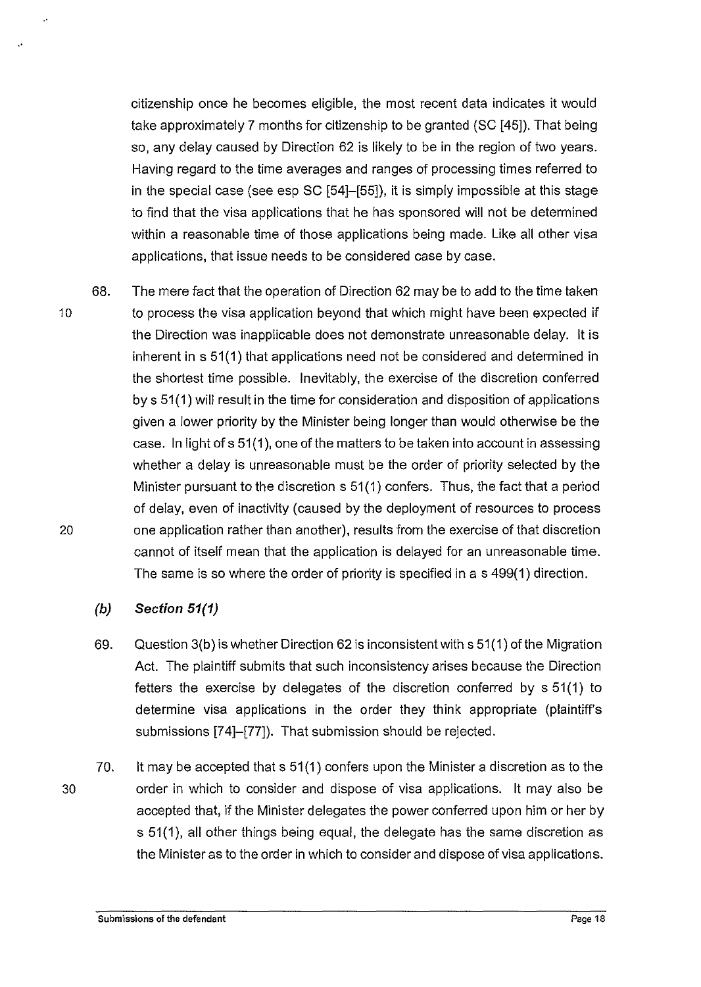citizenship once he becomes eligible, the most recent data indicates it would take approximately 7 months for citizenship to be granted (SC [45]). That being so, any delay caused by Direction 62 is likely to be in the region of two years. Having regard to the time averages and ranges of processing times referred to in the special case (see esp SC [54]-[55]), it is simply impossible at this stage to find that the visa applications that he has sponsored will not be determined within a reasonable time of those applications being made. Like all other visa applications, that issue needs to be considered case by case.

68. The mere fact that the operation of Direction 62 may be to add to the time taken 10 to process the visa application beyond that which might have been expected if the Direction was inapplicable does not demonstrate unreasonable delay. lt is inherent in s 51(1) that applications need not be considered and determined in the shortest time possible. Inevitably, the exercise of the discretion conferred by s 51(1) will result in the time for consideration and disposition of applications given a lower priority by the Minister being longer than would otherwise be the case. In light of s 51 (1 ), one of the matters to be taken into account in assessing whether a delay is unreasonable must be the order of priority selected by the Minister pursuant to the discretion s 51 (1) confers. Thus, the fact that a period of delay, even of inactivity (caused by the deployment of resources to process 20 one application rather than another), results from the exercise of that discretion cannot of itself mean that the application is delayed for an unreasonable time. The same is so where the order of priority is specified in a s 499(1) direction.

## **(b) Section 51(1}**

- 69. Question 3(b) is whether Direction 62 is inconsistent with s 51 (1) of the Migration Act. The plaintiff submits that such inconsistency arises because the Direction fetters the exercise by delegates of the discretion conferred by s 51(1) to determine visa applications in the order they think appropriate (plaintiffs submissions [74]-[77]). That submission should be rejected.
- 70. lt may be accepted that s 51 (1) confers upon the Minister a discretion as to the 30 order in which to consider and dispose of visa applications. lt may also be accepted that, if the Minister delegates the power conferred upon him or her by s 51(1), all other things being equal, the delegate has the same discretion as the Minister as to the order in which to consider and dispose of visa applications.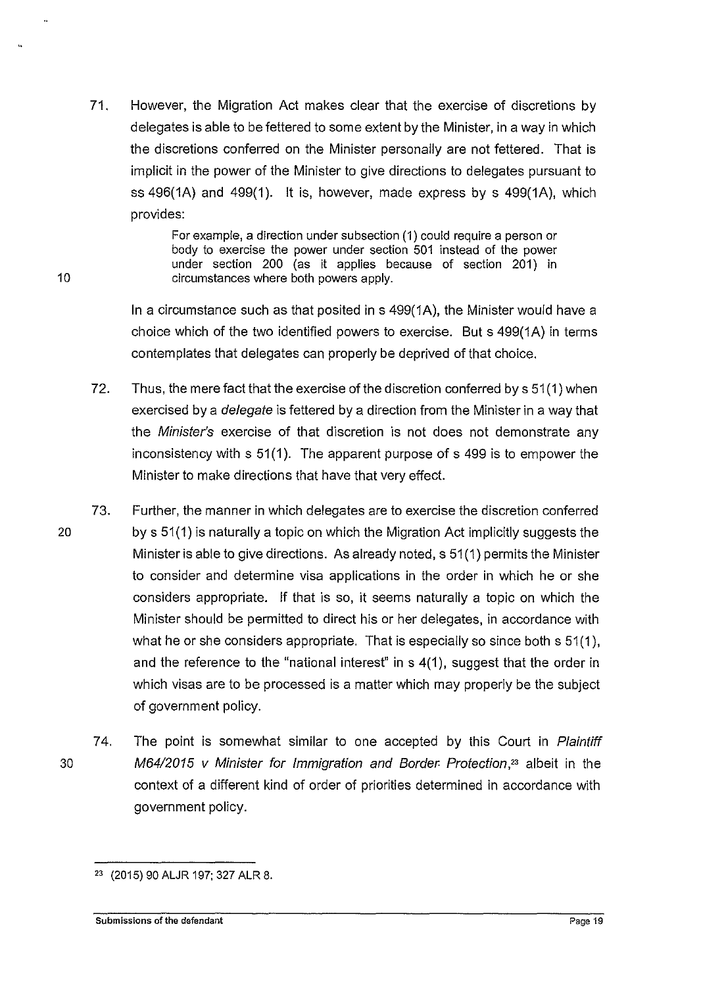71. However, the Migration Act makes clear that the exercise of discretions by delegates is able to be fettered to some extent by the Minister, in a way in which the discretions conferred on the Minister personally are not fettered. That is implicit in the power of the Minister to give directions to delegates pursuant to ss  $496(1A)$  and  $499(1)$ . It is, however, made express by s  $499(1A)$ , which provides:

> For example, a direction under subsection (1) could require a person or body to exercise the power under section 501 instead of the power under section 200 (as it applies because of section 201) in circumstances where both powers apply.

In a circumstance such as that posited ins 499(1A}, the Minister would have a choice which of the two identified powers to exercise. But s 499(1A) in terms contemplates that delegates can properly be deprived of that choice.

- 72. Thus, the mere fact that the exercise of the discretion conferred by s 51(1) when exercised by a delegate is fettered by a direction from the Minister in a way that the Minister's exercise of that discretion is not does not demonstrate any inconsistency with s 51(1). The apparent purpose of s 499 is to empower the Minister to make directions that have that very effect.
- 73. Further, the manner in which delegates are to exercise the discretion conferred 20 by s 51(1) is naturally a topic on which the Migration Act implicitly suggests the Minister is able to give directions. As already noted, s 51 (1) permits the Minister to consider and determine visa applications in the order in which he or she considers appropriate. If that is so, it seems naturally a topic on which the Minister should be permitted to direct his or her delegates, in accordance with what he or she considers appropriate. That is especially so since both s 51(1), and the reference to the "national interest" in s 4(1 ), suggest that the order in which visas are to be processed is a matter which may properly be the subject of government policy.
- 74. The point is somewhat similar to one accepted by this Court in Plaintiff 30 M64/2015 v Minister for Immigration and Border. Protection,<sup>23</sup> albeit in the context of a different kind of order of priorities determined in accordance with government policy.

<sup>23 (2015) 90</sup> ALJR 197; 327 ALR 8.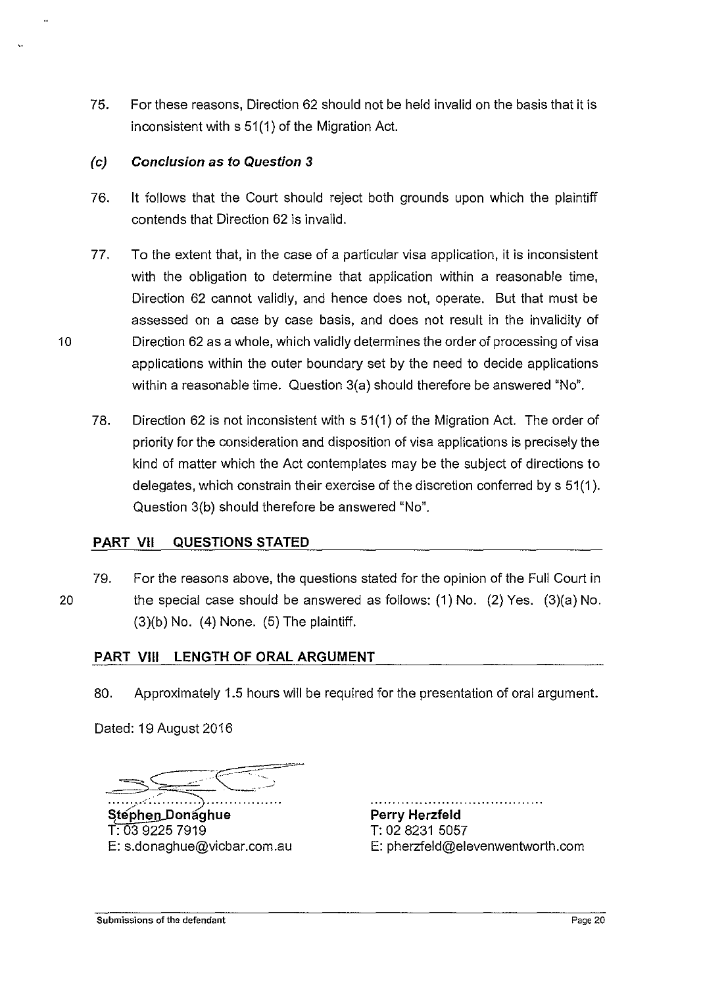75. For these reasons, Direction 62 should not be held invalid on the basis that it is inconsistent with s 51(1) of the Migration Act.

## {c) **Conclusion** as to **Question** *3*

- 76. it follows that the Court should reject both grounds upon which the plaintiff contends that Direction 62 is invalid.
- 77. To the extent that, in the case of a particular visa application, it is inconsistent with the obligation to determine that application within a reasonable time, Direction 62 cannot validly, and hence does not, operate. But that must be assessed on a case by case basis, and does not result in the invalidity of 10 Direction 62 as a whole, which validly determines the order of processing of visa applications within the outer boundary set by the need to decide applications within a reasonable time. Question 3(a) should therefore be answered "No".
	- 78. Direction 62 is not inconsistent with s 51 (1) of the Migration Act. The order of priority for the consideration and disposition of visa applications is precisely the kind of matter which the Act contemplates may be the subject of directions to delegates, which constrain their exercise of the discretion conferred by s 51 (1 ). Question 3(b) should therefore be answered "No".

## **PART VII QUESTIONS STATED**

79. For the reasons above, the questions stated for the opinion of the Full Court in 20 the special case should be answered as follows: (1) No. (2) Yes. (3)(a) No.  $(3)(b)$  No.  $(4)$  None.  $(5)$  The plaintiff.

## **PART VIII LENGTH OF ORAL ARGUMENT**

80. Approximately 1.5 hours will be required for the presentation of oral argument.

Dated: 19 August 2016

~s= ·~ ~C5=;-

····\_:..:;·············:;;················· Step<u>hen D</u>onaghue T: 03 9225 7919 E: s.donaghue@vicbar.com.au

**Perry Herzfeld**  T: 02 8231 5057

E: pherzfeld@elevenwentworth.com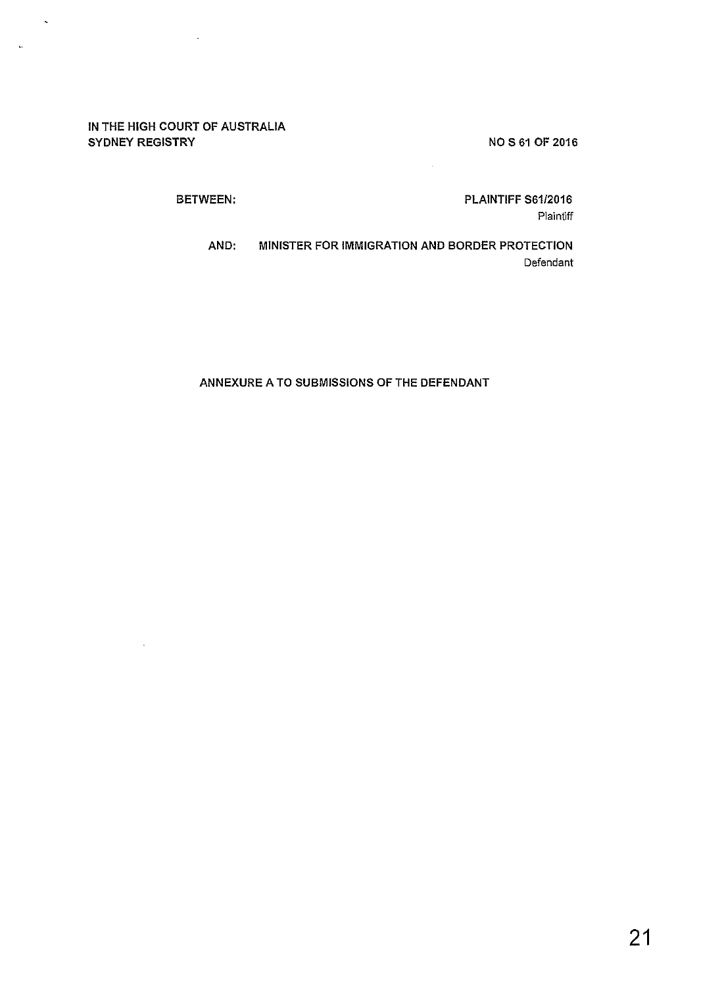#### NOS 61 OF 2016

#### IN THE HIGH COURT OF AUSTRALIA SYDNEY REGISTRY

 $\ddot{\phantom{a}}$ 

 $\ddot{\phantom{a}}$ 

 $\hat{\mathbf{v}}$ 

٠.

PLAINTIFF S61/2016 Plaintiff

BETWEEN:

AND: MINISTER FOR IMMIGRATION AND BORDER PROTECTION Defendant

#### ANNEXURE A TO SUBMISSIONS OF THE DEFENDANT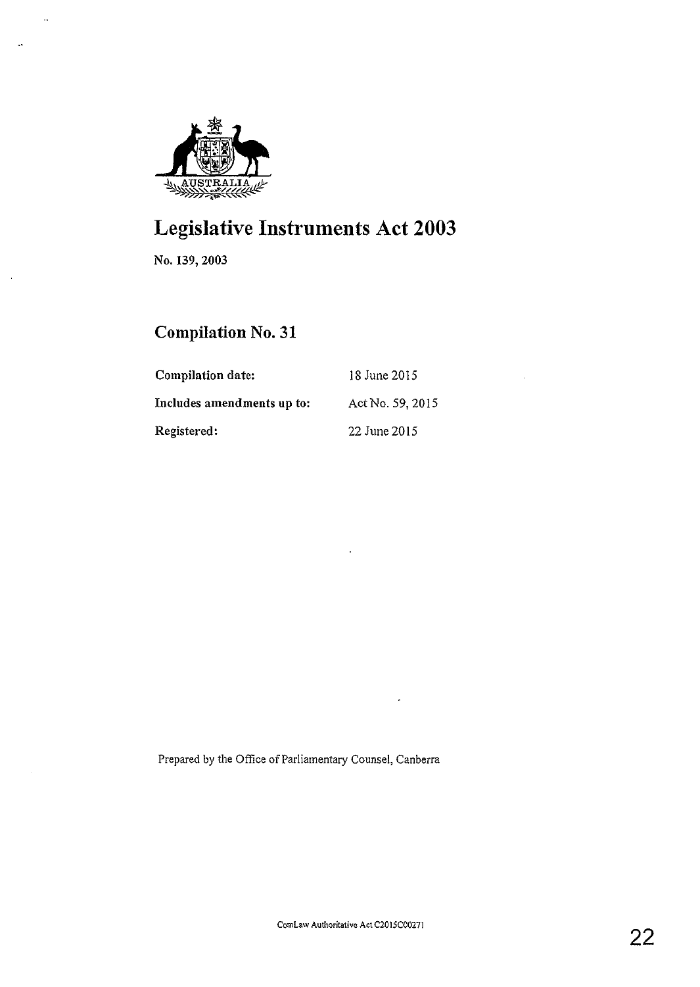

# **Legislative Instruments Act 2003**

No. 139, 2003

 $\ddot{\phantom{a}}$ 

 $\ddot{\phantom{a}}$ 

 $\bar{z}$ 

 $\bar{\gamma}$ 

## **Compilation** No. 31

| <b>Compilation date:</b>   | 18 June 2015     |
|----------------------------|------------------|
| Includes amendments up to: | Act No. 59, 2015 |
| Registered:                | 22 June 2015     |

Prepared by the Office of Parliamentary Counsel, Canberra

÷,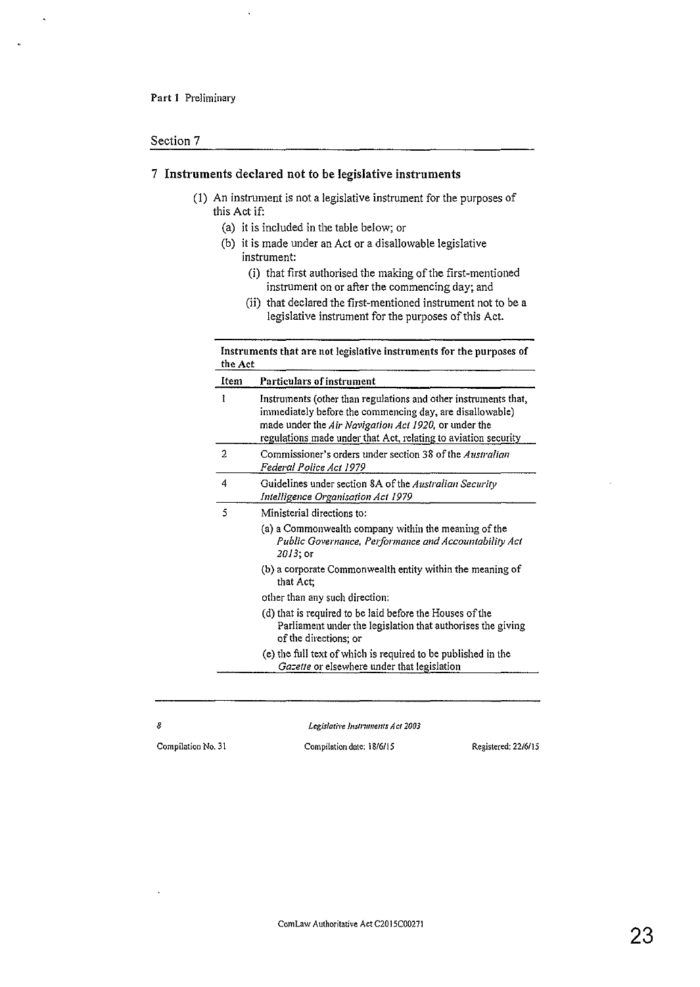#### Section 7

#### 7 Instruments declared not to be legislative instruments

- (1) An instrument is not a legislative instrument for the purposes of this Act if:
	- (a) it is included in the table below; or
	- (b) it is made under an Act or a disallowable legislative instrument:
		- (i) that first authorised the making of the first-mentioned instrument on or after the commencing day; and
		- (ii) that declared the first-mentioned instrument not to be a legislative instrument for the purposes of this Act.

| Item | <b>Particulars of instrument</b>                                                                                                                                                                                                                      |  |
|------|-------------------------------------------------------------------------------------------------------------------------------------------------------------------------------------------------------------------------------------------------------|--|
| I    | Instruments (other than regulations and other instruments that,<br>immediately before the commencing day, are disallowable)<br>made under the Air Navigation Act 1920, or under the<br>regulations made under that Act, relating to aviation security |  |
| 2    | Commissioner's orders under section 38 of the Australian<br>Federal Police Act 1979                                                                                                                                                                   |  |
| 4    | Guidelines under section 8A of the Australian Security<br>Intelligence Organisation Act 1979                                                                                                                                                          |  |
| 5    | Ministerial directions to:                                                                                                                                                                                                                            |  |
|      | (a) a Commonwealth company within the meaning of the<br>Public Governance, Performance and Accountability Act<br>2013; or                                                                                                                             |  |
|      | (b) a corporate Commonwealth entity within the meaning of<br>that Act:                                                                                                                                                                                |  |
|      | other than any such direction:                                                                                                                                                                                                                        |  |
|      | (d) that is required to be laid before the Houses of the<br>Parliament under the legislation that authorises the giving<br>of the directions; or                                                                                                      |  |
|      | (e) the full text of which is required to be published in the<br>Gazette or elsewhere under that legislation                                                                                                                                          |  |

*Legislati\>e lnslrwnents A et 2003* 

*8*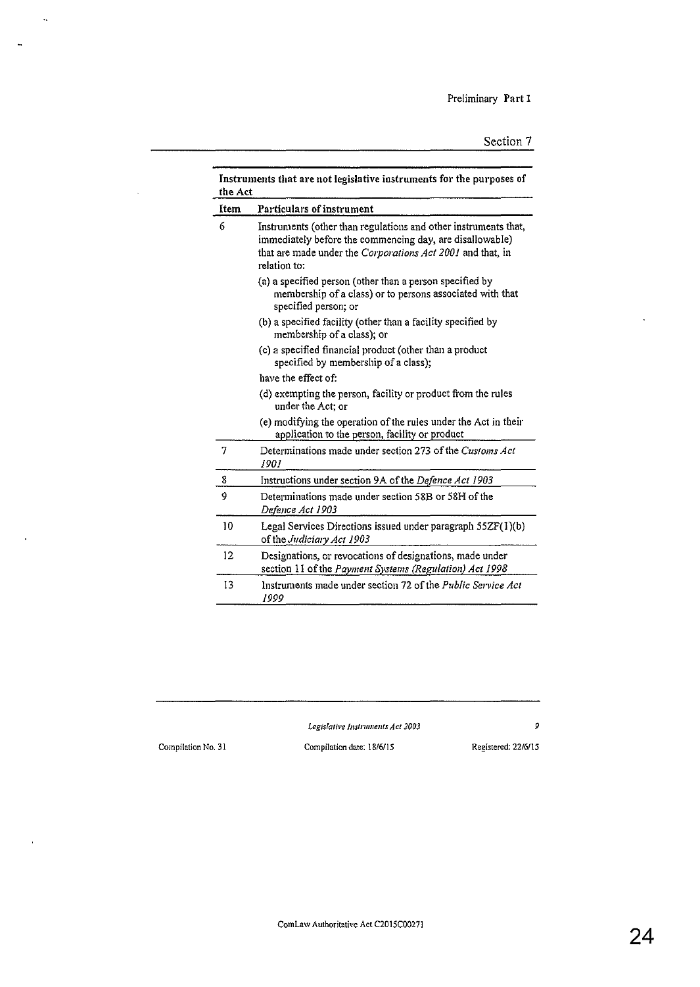| Instruments that are not legislative instruments for the purposes of<br>the Act |                                                                                                                                                                                                           |  |
|---------------------------------------------------------------------------------|-----------------------------------------------------------------------------------------------------------------------------------------------------------------------------------------------------------|--|
| Item                                                                            | Particulars of instrument                                                                                                                                                                                 |  |
| 6                                                                               | Instruments (other than regulations and other instruments that,<br>immediately before the commencing day, are disallowable)<br>that are made under the Corporations Act 2001 and that, in<br>relation to: |  |
|                                                                                 | (a) a specified person (other than a person specified by<br>membership of a class) or to persons associated with that<br>specified person; or                                                             |  |
|                                                                                 | (b) a specified facility (other than a facility specified by<br>membership of a class); or                                                                                                                |  |
|                                                                                 | (c) a specified financial product (other than a product<br>specified by membership of a class);                                                                                                           |  |
|                                                                                 | have the effect of:                                                                                                                                                                                       |  |
|                                                                                 | (d) exempting the person, facility or product from the rules<br>under the Act; or                                                                                                                         |  |
|                                                                                 | (e) modifying the operation of the rules under the Act in their<br>application to the person, facility or product                                                                                         |  |
| 7                                                                               | Determinations made under section 273 of the Customs Act<br>1901                                                                                                                                          |  |
| 8                                                                               | Instructions under section 9A of the Defence Act 1903                                                                                                                                                     |  |
| 9                                                                               | Determinations made under section 58B or 58H of the<br>Defence Act 1903                                                                                                                                   |  |
| 10                                                                              | Legal Services Directions issued under paragraph 55ZF(1)(b)<br>of the Judiciary Act 1903                                                                                                                  |  |
| 12                                                                              | Designations, or revocations of designations, made under<br>section 11 of the Payment Systems (Regulation) Act 1998                                                                                       |  |
| 13                                                                              | Instruments made under section 72 of the <i>Public Service Act</i><br>1999                                                                                                                                |  |

*Legislative Instruments Act 2003* 9

 $\hat{\mathbf{q}}$ 

 $\bar{\mathbf{a}}$ 

 $\ddot{\phantom{a}}$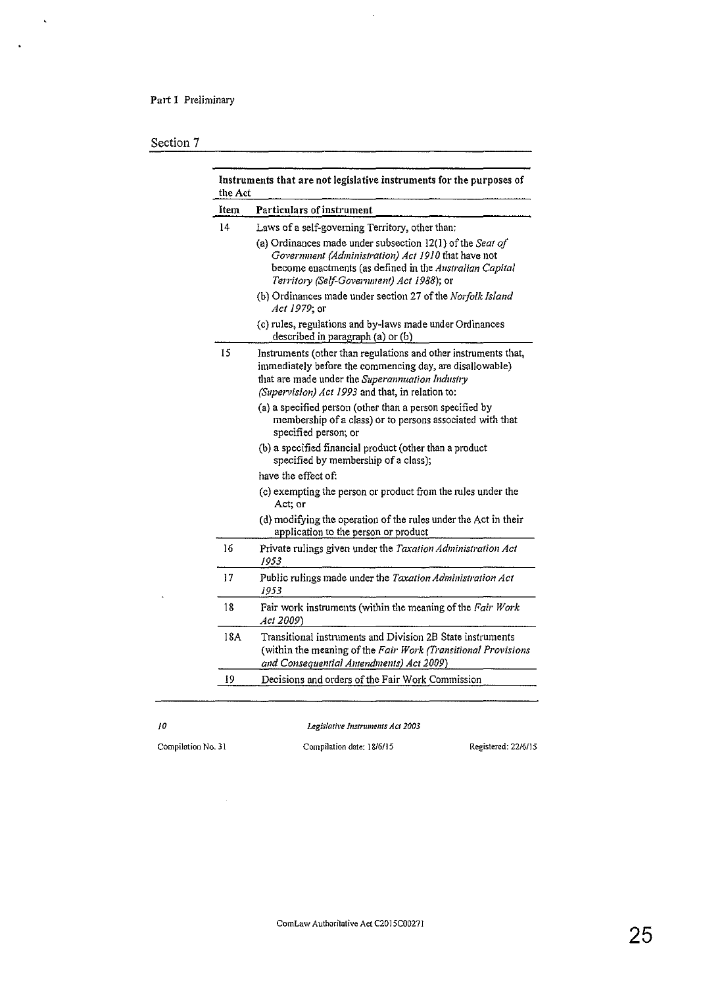## Part 1 Preliminary

## Section 7

 $\hat{\mathbf{v}}$ 

 $\ddot{\phantom{1}}$ 

| Item | Particulars of instrument                                                                                                                                                                                                          |  |
|------|------------------------------------------------------------------------------------------------------------------------------------------------------------------------------------------------------------------------------------|--|
| 14   | Laws of a self-governing Territory, other than:                                                                                                                                                                                    |  |
|      | (a) Ordinances made under subsection 12(1) of the Seat of<br>Government (Administration) Act 1910 that have not<br>become enactments (as defined in the Australian Capital<br>Territory (Self-Government) Act 1988); or            |  |
|      | (b) Ordinances made under section 27 of the Norfolk Island<br>Act 1979; or                                                                                                                                                         |  |
|      | (c) rules, regulations and by-laws made under Ordinances<br>described in paragraph (a) or (b)                                                                                                                                      |  |
| 15   | Instruments (other than regulations and other instruments that,<br>immediately before the commencing day, are disallowable)<br>that are made under the Superannuation Industry<br>(Supervision) Act 1993 and that, in relation to: |  |
|      | (a) a specified person (other than a person specified by<br>membership of a class) or to persons associated with that<br>specified person; or                                                                                      |  |
|      | (b) a specified financial product (other than a product<br>specified by membership of a class);                                                                                                                                    |  |
|      | have the effect of:                                                                                                                                                                                                                |  |
|      | (c) exempting the person or product from the rules under the<br>Act; or                                                                                                                                                            |  |
|      | (d) modifying the operation of the rules under the Act in their<br>application to the person or product                                                                                                                            |  |
| 16   | Private rulings given under the Taxation Administration Act<br>1953                                                                                                                                                                |  |
| 17   | Public rulings made under the Taxation Administration Act<br>1953                                                                                                                                                                  |  |
| 18   | Fair work instruments (within the meaning of the Fair Work<br>Act 2009)                                                                                                                                                            |  |
| 18A  | Transitional instruments and Division 2B State instruments<br>(within the meaning of the Fair Work (Transitional Provisions<br>and Consequential Amendments) Act 2009)                                                             |  |
| 19   | Decisions and orders of the Fair Work Commission                                                                                                                                                                                   |  |

 $\hat{\boldsymbol{\beta}}$ 

*/0* 

 $\ddot{\phantom{1}}$ 

*Legislariw Jnslrwmmts Act 2003*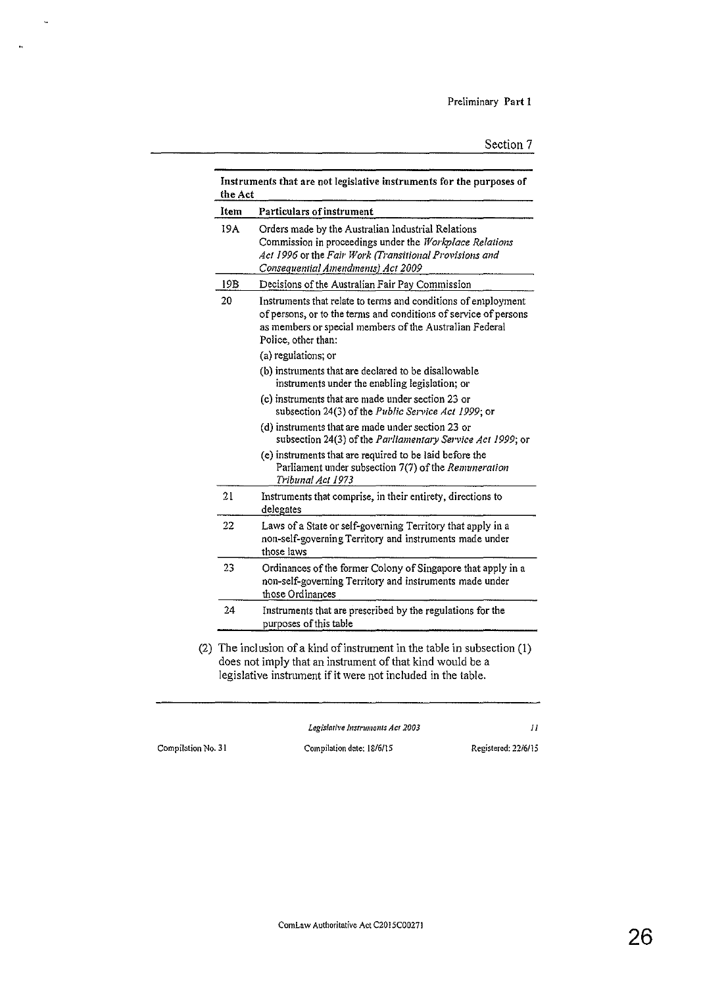| Item                                                                                       | <b>Particulars of instrument</b>                                                                                                                                                                                    |  |
|--------------------------------------------------------------------------------------------|---------------------------------------------------------------------------------------------------------------------------------------------------------------------------------------------------------------------|--|
| 19A                                                                                        | Orders made by the Australian Industrial Relations<br>Commission in proceedings under the Workplace Relations<br>Act 1996 or the Fair Work (Transitional Provisions and<br>Consequential Amendments) Act 2009       |  |
| 19B                                                                                        | Decisions of the Australian Fair Pay Commission                                                                                                                                                                     |  |
| 20                                                                                         | Instruments that relate to terms and conditions of employment<br>of persons, or to the terms and conditions of service of persons<br>as members or special members of the Australian Federal<br>Police, other than: |  |
|                                                                                            | (a) regulations; or                                                                                                                                                                                                 |  |
|                                                                                            | (b) instruments that are declared to be disallowable<br>instruments under the enabling legislation; or                                                                                                              |  |
|                                                                                            | (c) instruments that are made under section 23 or<br>subsection 24(3) of the Public Service Act 1999; or                                                                                                            |  |
|                                                                                            | (d) instruments that are made under section 23 or<br>subsection 24(3) of the Parliamentary Service Act 1999; or                                                                                                     |  |
|                                                                                            | (e) instruments that are required to be laid before the<br>Parliament under subsection 7(7) of the Remuneration<br>Tribunal Act 1973                                                                                |  |
| 21                                                                                         | Instruments that comprise, in their entirety, directions to<br>delegates                                                                                                                                            |  |
| 22                                                                                         | Laws of a State or self-governing Territory that apply in a<br>non-self-governing Territory and instruments made under<br>those laws                                                                                |  |
| 23                                                                                         | Ordinances of the former Colony of Singapore that apply in a<br>non-self-governing Territory and instruments made under<br>those Ordinances                                                                         |  |
| 24<br>Instruments that are prescribed by the regulations for the<br>purposes of this table |                                                                                                                                                                                                                     |  |
| legislative instrument if it were not included in the table.                               | The inclusion of a kind of instrument in the table in subsection (1)<br>does not imply that an instrument of that kind would be a                                                                                   |  |

 $\hat{\mathbf{v}}$ 

 $\hat{\mathbf{a}}$ 

*Legislative Instruments Act 2003 ll*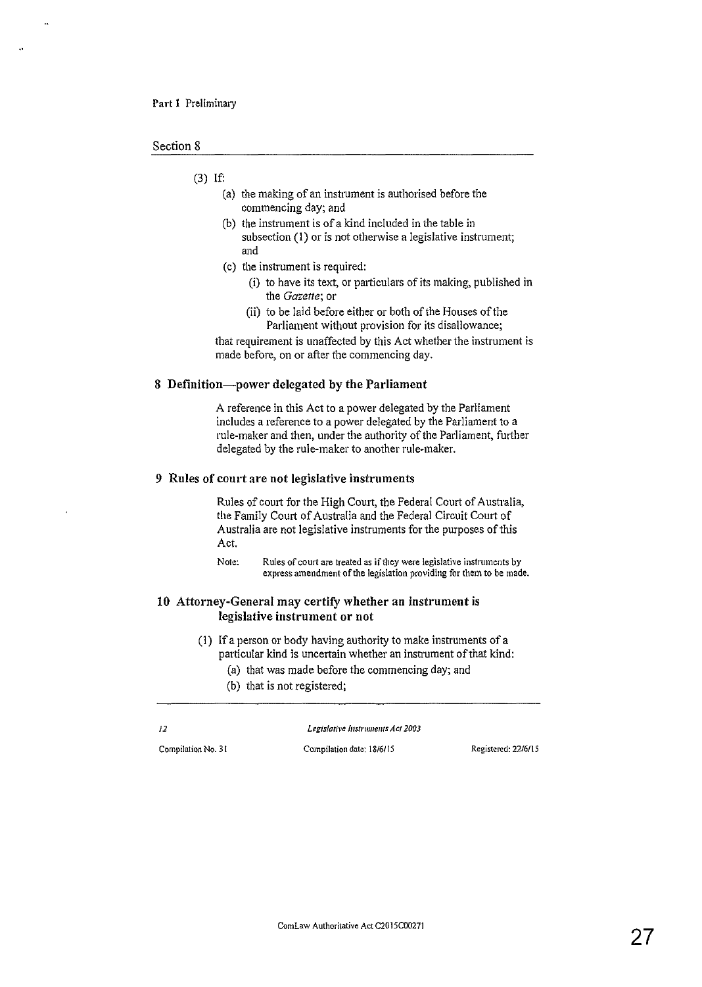#### Section 8

#### (3) If:

- (a) the making of an instrument is authorised before the commencing day; and
- (b) the instrument is of a kind included in the table in subsection (I) or is not otherwise a legislative instrument; and
- (c) the instrument is required:
	- (i) to have its text, or particulars of its making, published in the *Gazette;* or
	- (ii) to be laid before either or both of the Houses of the Parliament without provision for its disallowance;

that requirement is unaffected by this Act whether the instrument is made before, on or after the commencing day.

#### 8 Definition-power delegated by the Parliament

A reference in this Act to a power delegated by the Parliament includes a reference to a power delegated by the Parliament to a rule-maker and then, under the authority of the Parliament, further delegated by the rule-maker to another rule-maker.

#### 9 Rules of court are not legislative instruments

Rules of comt for the High Comt, the Federal Court of Australia, the Family Court of Australia and the Federal Circuit Court of Australia are not legislative instruments for the purposes of this Act.

**Note: Rules of court are treated as if they were legislative instruments by express amendment of the legislation providing for them to be made.** 

#### 10 Attorney-General may certify whether an instrument is legislative instrument or not

- (1) If a person or body having authority to make instruments of a particular kind is uncertain whether an instrument of that kind:
	- (a) that was made before the commencing day; and
	- (b) that is not registered;

*12 Legis!atil•e Instruments Act 2003*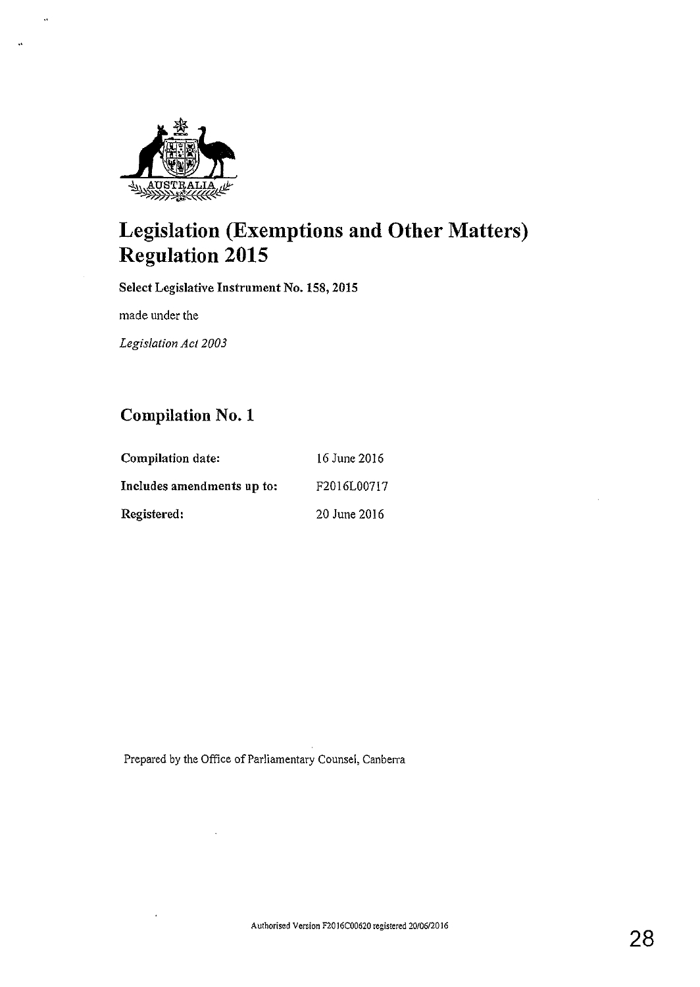

 $\ddot{\phantom{a}}$ 

 $\ddot{\phantom{a}}$ 

# **Legislation (Exemptions and Other Matters) Regulation 2015**

Select Legislative Instrument No, 158, 2015

made under the

 $\cdot$ 

*Legislation Act 2003* 

## **Compilation** No. **1**

| Compilation date:          | 16 June 2016 |
|----------------------------|--------------|
| Includes amendments up to: | F2016L00717  |
| Registered:                | 20 June 2016 |

Prepared by the Office of Parliamentary Counsel, Canberra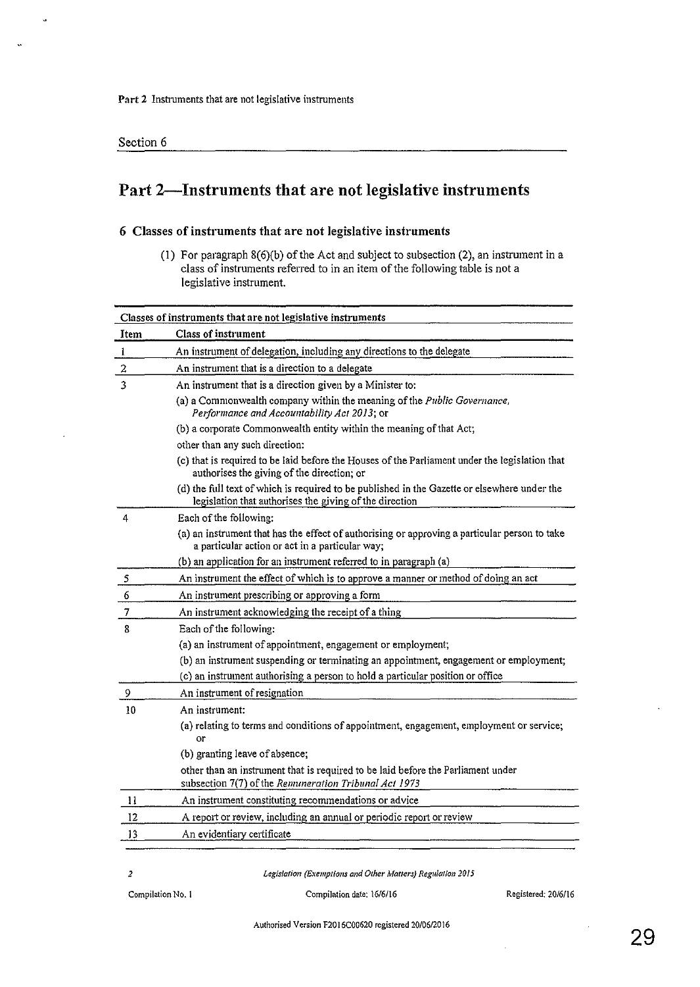$\ddot{\cdot}$ 

## Part 2-Instruments that are not legislative instruments

#### 6 Classes of instruments that are not legislative instruments

(!) For paragraph 8(6)(b) of the Act and subject to subsection (2), an instrument in a class of instruments referred to in an item of the following table is not a legislative instrument.

| Classes of instruments that are not legislative instruments |                                                                                                                                                         |  |  |
|-------------------------------------------------------------|---------------------------------------------------------------------------------------------------------------------------------------------------------|--|--|
| Item                                                        | Class of instrument                                                                                                                                     |  |  |
| $\mathbf{I}$                                                | An instrument of delegation, including any directions to the delegate                                                                                   |  |  |
| $\overline{\mathbf{c}}$                                     | An instrument that is a direction to a delegate                                                                                                         |  |  |
| $\overline{\mathbf{3}}$                                     | An instrument that is a direction given by a Minister to:                                                                                               |  |  |
|                                                             | (a) a Commonwealth company within the meaning of the Public Governance,<br>Performance and Accountability Act 2013; or                                  |  |  |
|                                                             | (b) a corporate Commonwealth entity within the meaning of that Act;                                                                                     |  |  |
|                                                             | other than any such direction:                                                                                                                          |  |  |
|                                                             | (c) that is required to be laid before the Houses of the Parliament under the legislation that<br>authorises the giving of the direction; or            |  |  |
|                                                             | (d) the full text of which is required to be published in the Gazette or elsewhere under the<br>legislation that authorises the giving of the direction |  |  |
| 4                                                           | Each of the following:                                                                                                                                  |  |  |
|                                                             | (a) an instrument that has the effect of authorising or approving a particular person to take<br>a particular action or act in a particular way;        |  |  |
|                                                             | (b) an application for an instrument referred to in paragraph (a)                                                                                       |  |  |
| 5                                                           | An instrument the effect of which is to approve a manner or method of doing an act                                                                      |  |  |
| 6                                                           | An instrument prescribing or approving a form                                                                                                           |  |  |
| $\overline{\mathcal{I}}$                                    | An instrument acknowledging the receipt of a thing                                                                                                      |  |  |
| 8                                                           | Each of the following:                                                                                                                                  |  |  |
|                                                             | (a) an instrument of appointment, engagement or employment;                                                                                             |  |  |
|                                                             | (b) an instrument suspending or terminating an appointment, engagement or employment;                                                                   |  |  |
|                                                             | (c) an instrument authorising a person to hold a particular position or office                                                                          |  |  |
| 9                                                           | An instrument of resignation                                                                                                                            |  |  |
| 10                                                          | An instrument:                                                                                                                                          |  |  |
|                                                             | (a) relating to terms and conditions of appointment, engagement, employment or service;<br>or                                                           |  |  |
|                                                             | (b) granting leave of absence;                                                                                                                          |  |  |
|                                                             | other than an instrument that is required to be laid before the Parliament under<br>subsection 7(7) of the Remuneration Tribunal Act 1973               |  |  |
| $\mathbf{1}$                                                | An instrument constituting recommendations or advice                                                                                                    |  |  |
| 12                                                          | A report or review, including an annual or periodic report or review                                                                                    |  |  |
| 13                                                          | An evidentiary certificate                                                                                                                              |  |  |

*2 Legislation (Exemptions and Other Matters) Regula/ion 2015*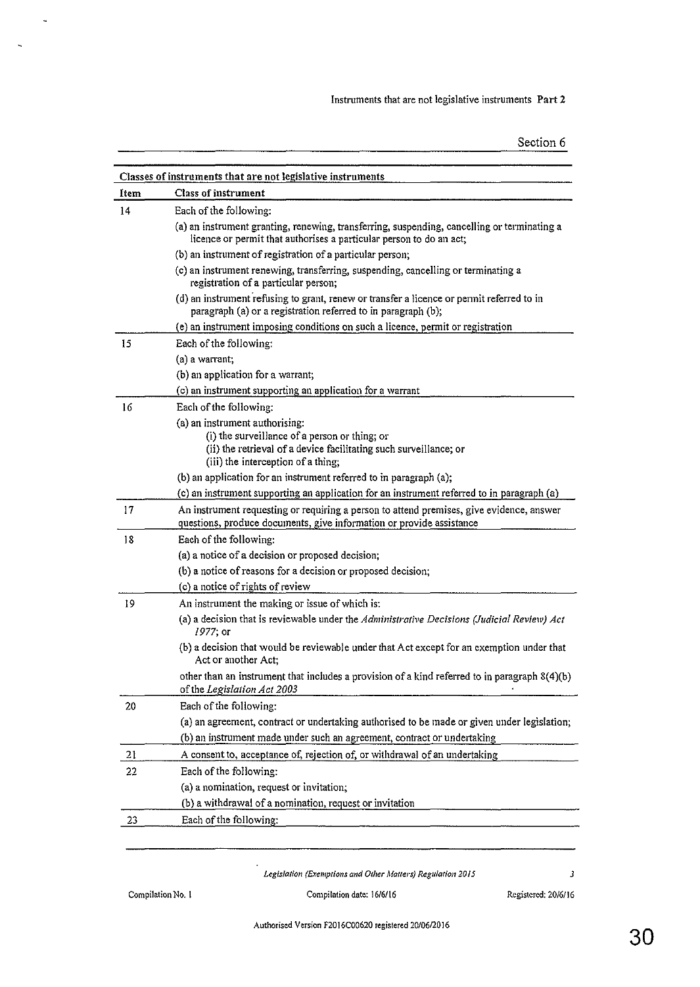| Section 6 |  |
|-----------|--|
|           |  |
|           |  |

|      | Classes of instruments that are not legislative instruments                                                                                                        |
|------|--------------------------------------------------------------------------------------------------------------------------------------------------------------------|
| Item | <b>Class of instrument</b>                                                                                                                                         |
| 14   | Each of the following:                                                                                                                                             |
|      | (a) an instrument granting, renewing, transferring, suspending, cancelling or terminating a<br>licence or permit that authorises a particular person to do an act; |
|      | (b) an instrument of registration of a particular person;                                                                                                          |
|      | (c) an instrument renewing, transferring, suspending, cancelling or terminating a<br>registration of a particular person;                                          |
|      | (d) an instrument refusing to grant, renew or transfer a licence or permit referred to in<br>paragraph (a) or a registration referred to in paragraph (b);         |
|      | (e) an instrument imposing conditions on such a licence, permit or registration                                                                                    |
| 15   | Each of the following:                                                                                                                                             |
|      | (a) a warrant;                                                                                                                                                     |
|      | (b) an application for a warrant;                                                                                                                                  |
|      | (c) an instrument supporting an application for a warrant                                                                                                          |
| 16   | Each of the following:                                                                                                                                             |
|      | (a) an instrument authorising:                                                                                                                                     |
|      | (i) the surveillance of a person or thing; or                                                                                                                      |
|      | (ii) the retrieval of a device facilitating such surveillance; or                                                                                                  |
|      | (iii) the interception of a thing;                                                                                                                                 |
|      | (b) an application for an instrument referred to in paragraph (a);                                                                                                 |
|      | (c) an instrument supporting an application for an instrument referred to in paragraph (a)                                                                         |
| 17   | An instrument requesting or requiring a person to attend premises, give evidence, answer<br>questions, produce documents, give information or provide assistance   |
| 18   | Each of the following:                                                                                                                                             |
|      | (a) a notice of a decision or proposed decision;                                                                                                                   |
|      | (b) a notice of reasons for a decision or proposed decision;                                                                                                       |
|      | (c) a notice of rights of review                                                                                                                                   |
| 19   | An instrument the making or issue of which is:                                                                                                                     |
|      | (a) a decision that is reviewable under the Administrative Decisions (Judicial Review) Act<br>1977; or                                                             |
|      | (b) a decision that would be reviewable under that Act except for an exemption under that<br>Act or another Act:                                                   |
|      | other than an instrument that includes a provision of a kind referred to in paragraph 8(4)(b)<br>of the Legislation Act 2003                                       |
| 20   | Each of the following:                                                                                                                                             |
|      | (a) an agreement, contract or undertaking authorised to be made or given under legislation;                                                                        |
|      | (b) an instrument made under such an agreement, contract or undertaking                                                                                            |
| 21   | A consent to, acceptance of, rejection of, or withdrawal of an undertaking                                                                                         |
| 22   | Each of the following:                                                                                                                                             |
|      | (a) a nomination, request or invitation;                                                                                                                           |
|      | (b) a withdrawal of a nomination, request or invitation                                                                                                            |
| 23   | Each of the following:                                                                                                                                             |
|      |                                                                                                                                                                    |

*Legislation (Exemptions and Other Matlers) Regularion 2015 3* 

 $\ddot{\phantom{a}}$ 

 $\ddot{\phantom{1}}$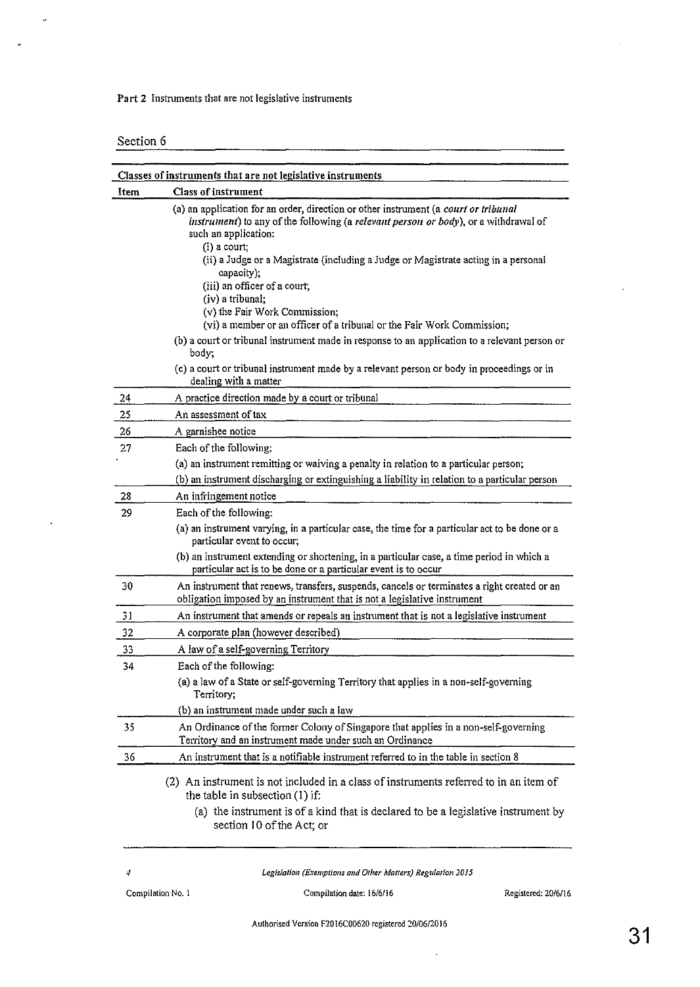Part 2 Instruments that are not legislative instruments

Section 6

 $\hat{\phi}$ 

 $\ddot{\phantom{0}}$ 

 $\ddot{\phantom{a}}$ 

|      | Classes of instruments that are not legislative instruments                                                                                                                                                          |
|------|----------------------------------------------------------------------------------------------------------------------------------------------------------------------------------------------------------------------|
| Item | <b>Class of instrument</b>                                                                                                                                                                                           |
|      | (a) an application for an order, direction or other instrument (a court or tribunal<br>instrument) to any of the following (a relevant person or body), or a withdrawal of<br>such an application:<br>$(i)$ a court; |
|      | (ii) a Judge or a Magistrate (including a Judge or Magistrate acting in a personal<br>capacity);<br>(iii) an officer of a court;                                                                                     |
|      | (iv) a tribunal;                                                                                                                                                                                                     |
|      | (v) the Fair Work Commission;                                                                                                                                                                                        |
|      | (vi) a member or an officer of a tribunal or the Fair Work Commission;                                                                                                                                               |
|      | (b) a court or tribunal instrument made in response to an application to a relevant person or<br>body;                                                                                                               |
|      | (c) a court or tribunal instrument made by a relevant person or body in proceedings or in<br>dealing with a matter                                                                                                   |
| 24   | A practice direction made by a court or tribunal                                                                                                                                                                     |
| 25   | An assessment of tax                                                                                                                                                                                                 |
| 26   | A garnishee notice                                                                                                                                                                                                   |
| 27   | Each of the following:                                                                                                                                                                                               |
|      | (a) an instrument remitting or waiving a penalty in relation to a particular person;                                                                                                                                 |
|      | (b) an instrument discharging or extinguishing a liability in relation to a particular person                                                                                                                        |
| 28   | An infringement notice                                                                                                                                                                                               |
| 29   | Each of the following:                                                                                                                                                                                               |
|      | (a) an instrument varying, in a particular case, the time for a particular act to be done or a<br>particular event to occur;                                                                                         |
|      | (b) an instrument extending or shortening, in a particular case, a time period in which a<br>particular act is to be done or a particular event is to occur                                                          |
| 30   | An instrument that renews, transfers, suspends, cancels or terminates a right created or an<br>obligation imposed by an instrument that is not a legislative instrument                                              |
| 31   | An instrument that amends or repeals an instrument that is not a legislative instrument                                                                                                                              |
| 32   | A corporate plan (however described)                                                                                                                                                                                 |
| 33   | A law of a self-governing Territory                                                                                                                                                                                  |
| 34   | Each of the following:                                                                                                                                                                                               |
|      | (a) a law of a State or self-governing Territory that applies in a non-self-governing<br>Territory;                                                                                                                  |
|      | (b) an instrument made under such a law                                                                                                                                                                              |
| 35   | An Ordinance of the former Colony of Singapore that applies in a non-self-governing<br>Territory and an instrument made under such an Ordinance                                                                      |
| 36   | An instrument that is a notifiable instrument referred to in the table in section 8                                                                                                                                  |
|      | (2) An instrument is not included in a class of instruments referred to in an item of<br>the table in subsection $(1)$ if:                                                                                           |
|      | (a) the instrument is of a kind that is declared to be a legislative instrument by<br>section 10 of the Act; or                                                                                                      |
|      |                                                                                                                                                                                                                      |

*Legislation (Exemptions and Orher Matrers) Regulation 2015* 

 $\bar{\beta}$ 

4

Compilation No. 1 Compilation date: 16/6/16 Registered: 20/6/16

 $\overline{a}$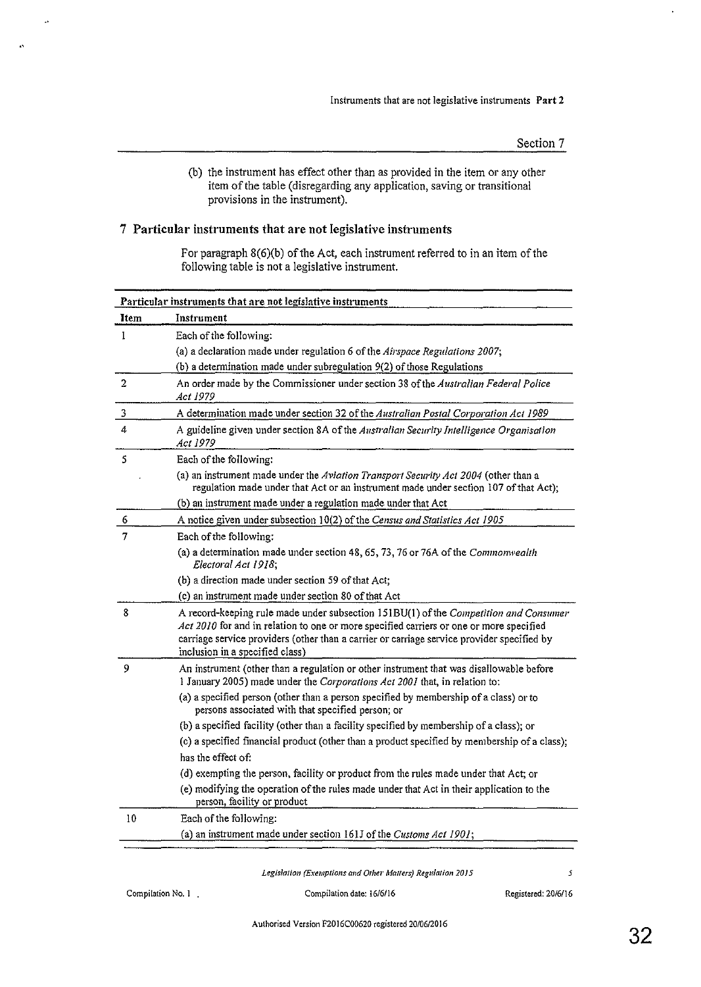(b) the instrument has effect other than as provided in the item or any other item of the table (disregarding any application, saving or transitional provisions in the instrument).

#### 7 Particular instruments that are not legislative instruments

ķ.

 $\ddot{\phantom{0}}$ 

For paragraph 8(6)(b) of the Act, each instrument referred to in an item of the following table is not a legislative instrument.

| Particular instruments that are not legislative instruments |                                                                                                                                                                                                                                                                                                                  |  |  |
|-------------------------------------------------------------|------------------------------------------------------------------------------------------------------------------------------------------------------------------------------------------------------------------------------------------------------------------------------------------------------------------|--|--|
| <b>Item</b>                                                 | Instrument                                                                                                                                                                                                                                                                                                       |  |  |
| L                                                           | Each of the following:                                                                                                                                                                                                                                                                                           |  |  |
|                                                             | (a) a declaration made under regulation 6 of the Airspace Regulations 2007;                                                                                                                                                                                                                                      |  |  |
|                                                             | (b) a determination made under subregulation 9(2) of those Regulations                                                                                                                                                                                                                                           |  |  |
| $\overline{2}$                                              | An order made by the Commissioner under section 38 of the Australian Federal Police<br>Acı 1979                                                                                                                                                                                                                  |  |  |
| 3                                                           | A determination made under section 32 of the Australian Postal Corporation Act 1989                                                                                                                                                                                                                              |  |  |
| 4                                                           | A guideline given under section 8A of the Australian Security Intelligence Organisation<br><i>Act 1979</i>                                                                                                                                                                                                       |  |  |
| 5                                                           | Each of the following:                                                                                                                                                                                                                                                                                           |  |  |
|                                                             | (a) an instrument made under the Aviation Transport Security Act 2004 (other than a<br>regulation made under that Act or an instrument made under section 107 of that Act);                                                                                                                                      |  |  |
|                                                             | (b) an instrument made under a regulation made under that Act                                                                                                                                                                                                                                                    |  |  |
| 6                                                           | A notice given under subsection 10(2) of the Census and Statistics Act 1905                                                                                                                                                                                                                                      |  |  |
| 7                                                           | Each of the following:                                                                                                                                                                                                                                                                                           |  |  |
|                                                             | (a) a determination made under section 48, 65, 73, 76 or 76A of the Commonwealth<br>Electoral Act 1918,                                                                                                                                                                                                          |  |  |
|                                                             | (b) a direction made under section 59 of that Act;                                                                                                                                                                                                                                                               |  |  |
|                                                             | (c) an instrument made under section 80 of that Act                                                                                                                                                                                                                                                              |  |  |
| 8                                                           | A record-keeping rule made under subsection 151BU(1) of the Competition and Consumer<br>Act 2010 for and in relation to one or more specified carriers or one or more specified<br>carriage service providers (other than a carrier or carriage service provider specified by<br>inclusion in a specified class) |  |  |
| 9                                                           | An instrument (other than a regulation or other instrument that was disallowable before<br>1 January 2005) made under the Corporations Act 2001 that, in relation to:                                                                                                                                            |  |  |
|                                                             | (a) a specified person (other than a person specified by membership of a class) or to<br>persons associated with that specified person; or                                                                                                                                                                       |  |  |
|                                                             | (b) a specified facility (other than a facility specified by membership of a class); or                                                                                                                                                                                                                          |  |  |
|                                                             | (c) a specified financial product (other than a product specified by membership of a class);                                                                                                                                                                                                                     |  |  |
|                                                             | has the effect of:                                                                                                                                                                                                                                                                                               |  |  |
|                                                             | (d) exempting the person, facility or product from the rules made under that Act; or                                                                                                                                                                                                                             |  |  |
|                                                             | (e) modifying the operation of the rules made under that Act in their application to the<br>person, facility or product                                                                                                                                                                                          |  |  |
| 10                                                          | Each of the following:                                                                                                                                                                                                                                                                                           |  |  |
|                                                             | (a) an instrument made under section 161J of the Customs Act 1901;                                                                                                                                                                                                                                               |  |  |

*Legislation (Exemptions and Other Malfers) Regulation 2015* 5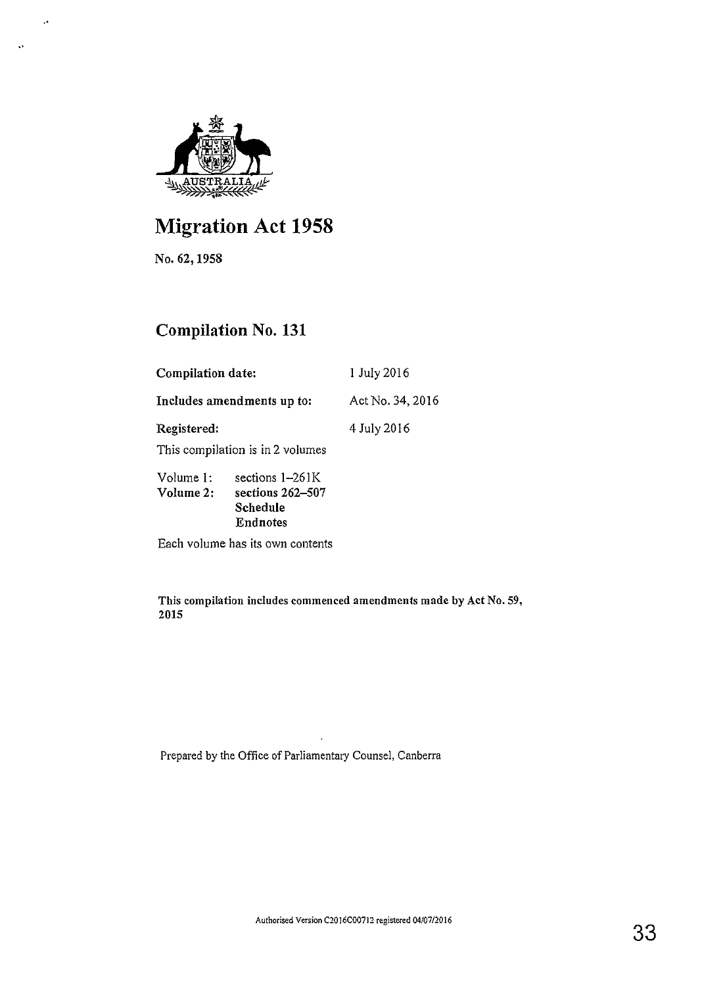

# **Migration Act 1958**

No. 62,1958

..

 $\ddot{\phantom{a}}$ 

## **Compilation** No. **131**

| Compilation date:                                                                              |  | 1 July 2016      |  |
|------------------------------------------------------------------------------------------------|--|------------------|--|
| Includes amendments up to:                                                                     |  | Act No. 34, 2016 |  |
| Registered:                                                                                    |  | 4 July 2016      |  |
| This compilation is in 2 volumes                                                               |  |                  |  |
| sections $1-261K$<br>Volume 1:<br>sections 262–507<br>Volume 2:<br>Schedule<br><b>Endnotes</b> |  |                  |  |
| Each volume has its own contents                                                               |  |                  |  |

This compilation includes commenced amendments made by Act No. 59, 2015

Prepared by the Office of Parliamentary Counsel, Canberra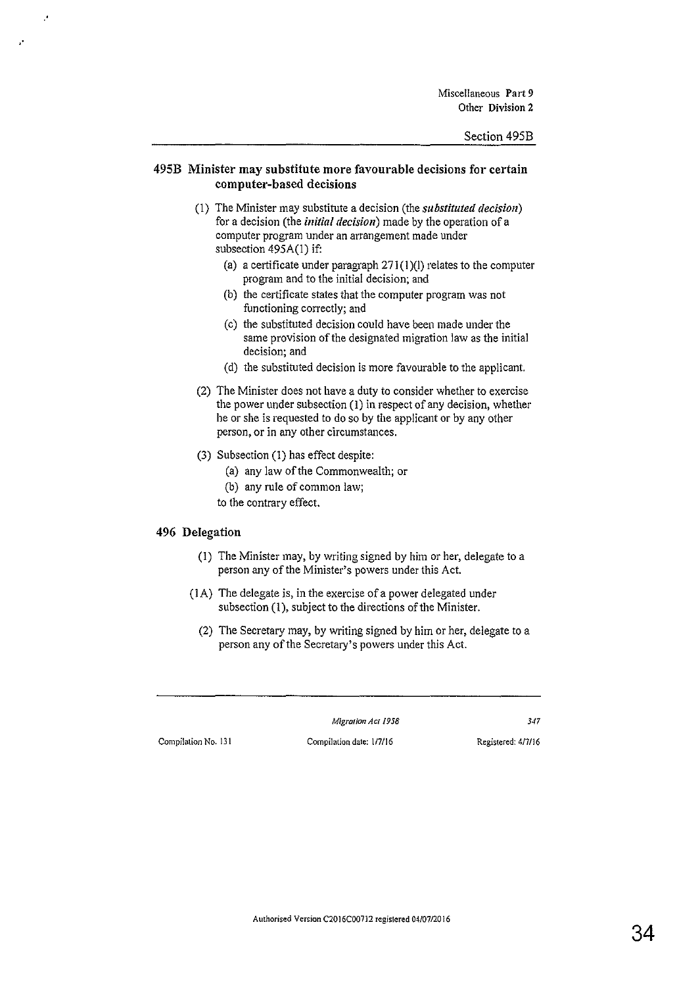#### 495B Minister may substitute more favourable decisions for certain computer-based decisions

- (I) The Minister may substitute a decision (the *substituted decision)*  for a decision (the initial *decision)* made by the operation of a computer program under an arrangement made under subsection 495A(l) if:
	- (a) a certificate under paragraph  $271(1)(1)$  relates to the computer program and to the initial decision; and
	- (b) the certificate states that the computer program was not functioning correctly; and
	- (c) the substituted decision could have been made under the same provision of the designated migration law as the initial **decision; and**
	- (d) the substituted decision is more favourable to the applicant.
- (2) The Minister does not have a duty to consider whether to exercise the power under subsection (I) in respect of any decision, whether he or she is requested to do so by the applicant or by any other person, or in any other circumstances.
- (3) Subsection (1) has effect despite:
	- (a) any law of the Commonwealth; or
	- (b) any rule of common law;
	- to the contrary effect.

#### 496 Delegation

.·

,•

- (1) The Minister may, by writing signed by him or her, delegate to a person any of the Minister's powers under this Act.
- (lA) The delegate is, in the exercise of a power delegated under subsection (1), subject to the directions of the Minister.
	- (2) The Secretary may, by writing signed by him or her, delegate to a person any of the Secretary's powers under this Act.

*Migration A er 1958 347*